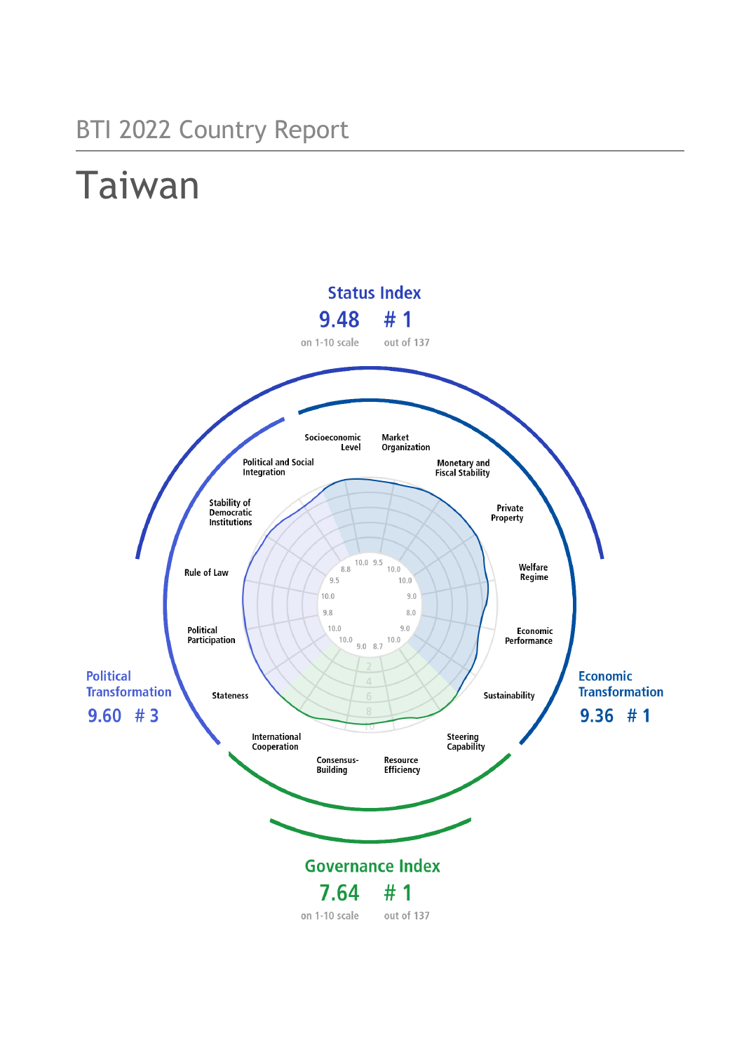## BTI 2022 Country Report

# Taiwan

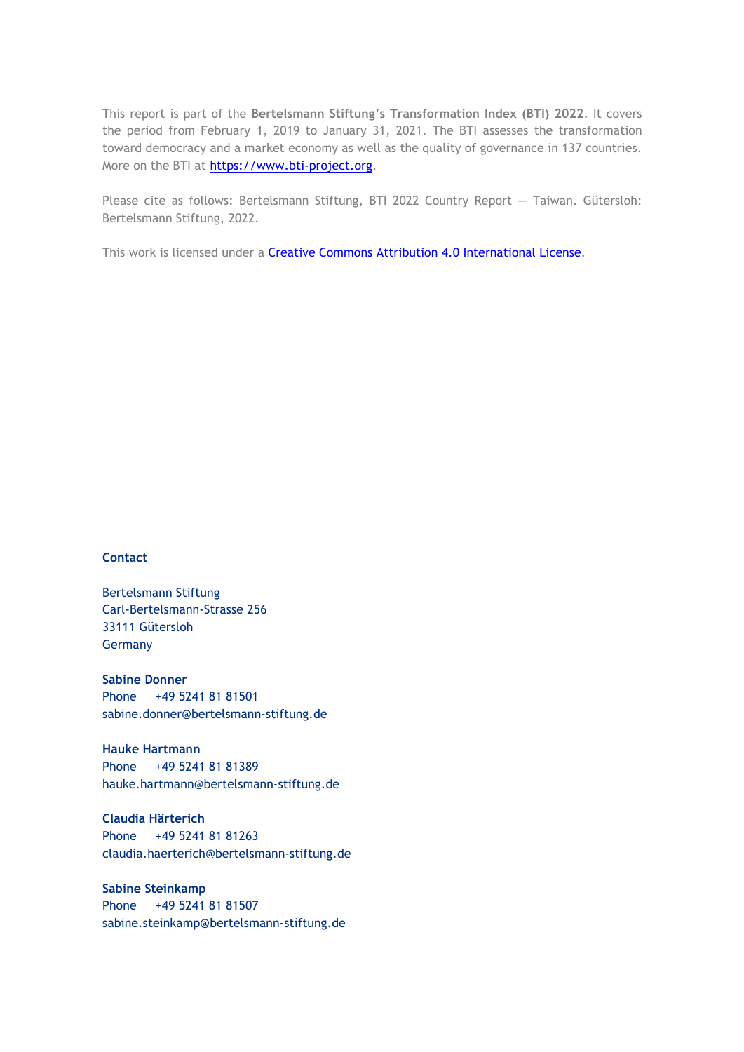This report is part of the **Bertelsmann Stiftung's Transformation Index (BTI) 2022**. It covers the period from February 1, 2019 to January 31, 2021. The BTI assesses the transformation toward democracy and a market economy as well as the quality of governance in 137 countries. More on the BTI at [https://www.bti-project.org.](https://www.bti-project.org/)

Please cite as follows: Bertelsmann Stiftung, BTI 2022 Country Report — Taiwan. Gütersloh: Bertelsmann Stiftung, 2022.

This work is licensed under a **Creative Commons Attribution 4.0 International License**.

#### **Contact**

Bertelsmann Stiftung Carl-Bertelsmann-Strasse 256 33111 Gütersloh Germany

**Sabine Donner** Phone +49 5241 81 81501 sabine.donner@bertelsmann-stiftung.de

**Hauke Hartmann** Phone +49 5241 81 81389 hauke.hartmann@bertelsmann-stiftung.de

**Claudia Härterich** Phone +49 5241 81 81263 claudia.haerterich@bertelsmann-stiftung.de

#### **Sabine Steinkamp** Phone +49 5241 81 81507 sabine.steinkamp@bertelsmann-stiftung.de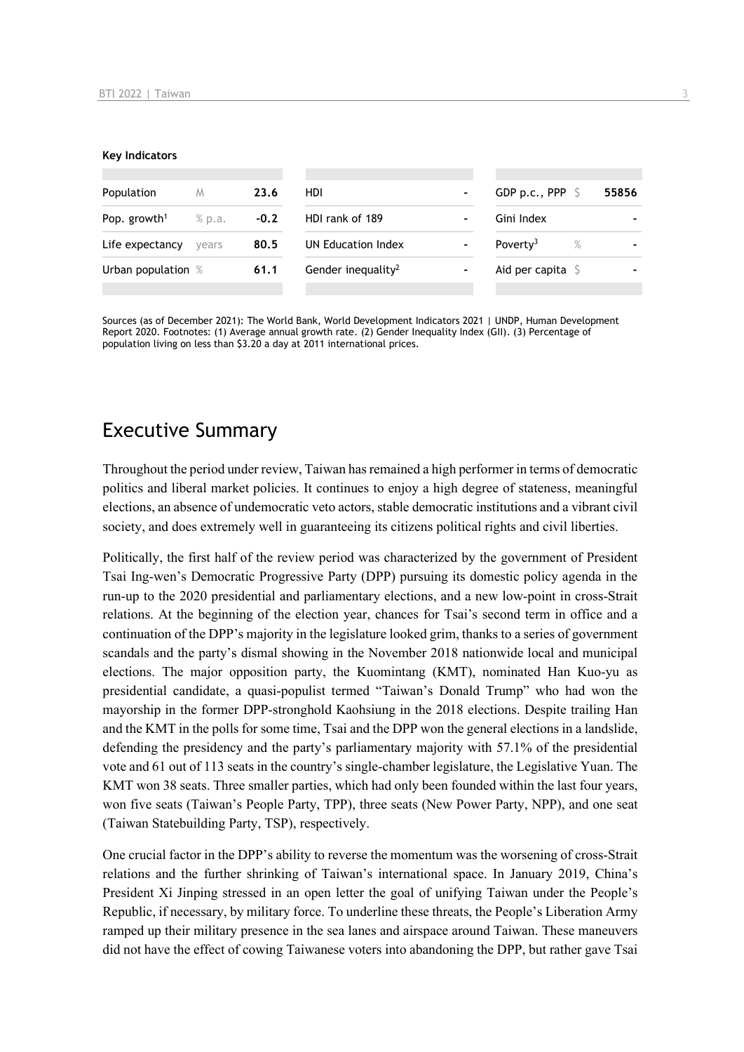#### **Key Indicators**

| Population<br>M          |        | 23.6   | <b>HDI</b>                     | -              | GDP p.c., PPP $\ S$       |      | 55856 |
|--------------------------|--------|--------|--------------------------------|----------------|---------------------------|------|-------|
| Pop. growth <sup>1</sup> | % p.a. | $-0.2$ | HDI rank of 189                | $\blacksquare$ | Gini Index                |      |       |
| Life expectancy          | vears  | 80.5   | UN Education Index             | $\blacksquare$ | Poverty <sup>3</sup>      | $\%$ |       |
| Urban population %       |        | 61.1   | Gender inequality <sup>2</sup> |                | Aid per capita $\sqrt{5}$ |      |       |
|                          |        |        |                                |                |                           |      |       |

Sources (as of December 2021): The World Bank, World Development Indicators 2021 | UNDP, Human Development Report 2020. Footnotes: (1) Average annual growth rate. (2) Gender Inequality Index (GII). (3) Percentage of population living on less than \$3.20 a day at 2011 international prices.

## Executive Summary

Throughout the period under review, Taiwan has remained a high performer in terms of democratic politics and liberal market policies. It continues to enjoy a high degree of stateness, meaningful elections, an absence of undemocratic veto actors, stable democratic institutions and a vibrant civil society, and does extremely well in guaranteeing its citizens political rights and civil liberties.

Politically, the first half of the review period was characterized by the government of President Tsai Ing-wen's Democratic Progressive Party (DPP) pursuing its domestic policy agenda in the run-up to the 2020 presidential and parliamentary elections, and a new low-point in cross-Strait relations. At the beginning of the election year, chances for Tsai's second term in office and a continuation of the DPP's majority in the legislature looked grim, thanks to a series of government scandals and the party's dismal showing in the November 2018 nationwide local and municipal elections. The major opposition party, the Kuomintang (KMT), nominated Han Kuo-yu as presidential candidate, a quasi-populist termed "Taiwan's Donald Trump" who had won the mayorship in the former DPP-stronghold Kaohsiung in the 2018 elections. Despite trailing Han and the KMT in the polls for some time, Tsai and the DPP won the general elections in a landslide, defending the presidency and the party's parliamentary majority with 57.1% of the presidential vote and 61 out of 113 seats in the country's single-chamber legislature, the Legislative Yuan. The KMT won 38 seats. Three smaller parties, which had only been founded within the last four years, won five seats (Taiwan's People Party, TPP), three seats (New Power Party, NPP), and one seat (Taiwan Statebuilding Party, TSP), respectively.

One crucial factor in the DPP's ability to reverse the momentum was the worsening of cross-Strait relations and the further shrinking of Taiwan's international space. In January 2019, China's President Xi Jinping stressed in an open letter the goal of unifying Taiwan under the People's Republic, if necessary, by military force. To underline these threats, the People's Liberation Army ramped up their military presence in the sea lanes and airspace around Taiwan. These maneuvers did not have the effect of cowing Taiwanese voters into abandoning the DPP, but rather gave Tsai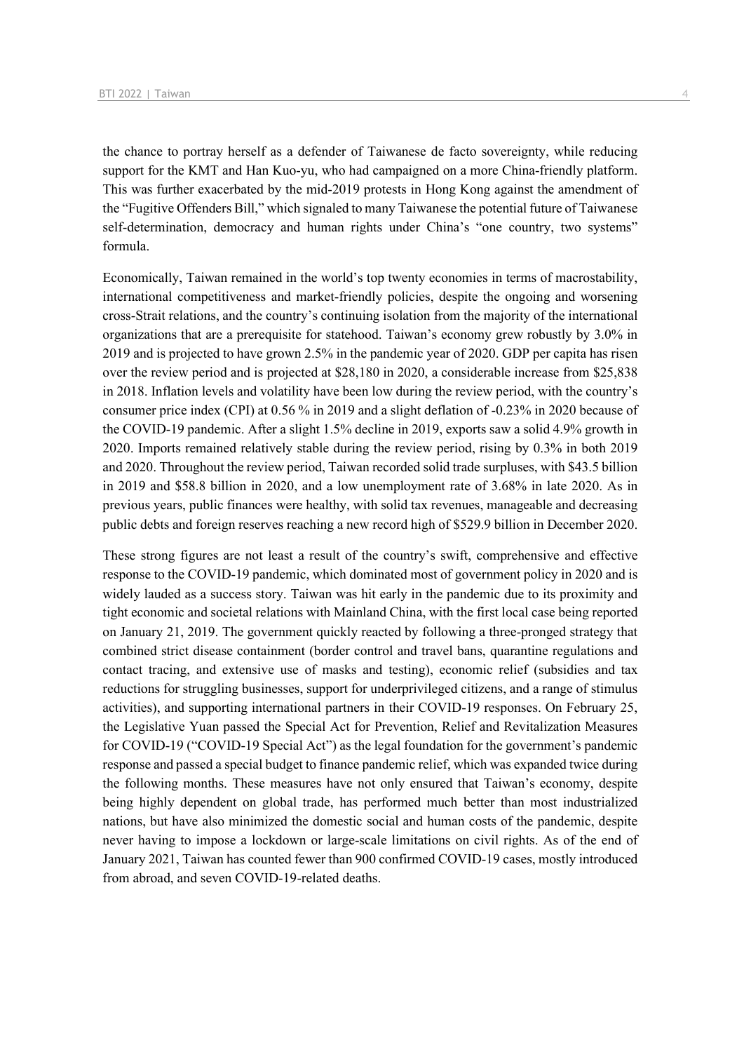the chance to portray herself as a defender of Taiwanese de facto sovereignty, while reducing support for the KMT and Han Kuo-yu, who had campaigned on a more China-friendly platform. This was further exacerbated by the mid-2019 protests in Hong Kong against the amendment of the "Fugitive Offenders Bill," which signaled to many Taiwanese the potential future of Taiwanese self-determination, democracy and human rights under China's "one country, two systems" formula.

Economically, Taiwan remained in the world's top twenty economies in terms of macrostability, international competitiveness and market-friendly policies, despite the ongoing and worsening cross-Strait relations, and the country's continuing isolation from the majority of the international organizations that are a prerequisite for statehood. Taiwan's economy grew robustly by 3.0% in 2019 and is projected to have grown 2.5% in the pandemic year of 2020. GDP per capita has risen over the review period and is projected at \$28,180 in 2020, a considerable increase from \$25,838 in 2018. Inflation levels and volatility have been low during the review period, with the country's consumer price index (CPI) at 0.56 % in 2019 and a slight deflation of -0.23% in 2020 because of the COVID-19 pandemic. After a slight 1.5% decline in 2019, exports saw a solid 4.9% growth in 2020. Imports remained relatively stable during the review period, rising by 0.3% in both 2019 and 2020. Throughout the review period, Taiwan recorded solid trade surpluses, with \$43.5 billion in 2019 and \$58.8 billion in 2020, and a low unemployment rate of 3.68% in late 2020. As in previous years, public finances were healthy, with solid tax revenues, manageable and decreasing public debts and foreign reserves reaching a new record high of \$529.9 billion in December 2020.

These strong figures are not least a result of the country's swift, comprehensive and effective response to the COVID-19 pandemic, which dominated most of government policy in 2020 and is widely lauded as a success story. Taiwan was hit early in the pandemic due to its proximity and tight economic and societal relations with Mainland China, with the first local case being reported on January 21, 2019. The government quickly reacted by following a three-pronged strategy that combined strict disease containment (border control and travel bans, quarantine regulations and contact tracing, and extensive use of masks and testing), economic relief (subsidies and tax reductions for struggling businesses, support for underprivileged citizens, and a range of stimulus activities), and supporting international partners in their COVID-19 responses. On February 25, the Legislative Yuan passed the Special Act for Prevention, Relief and Revitalization Measures for COVID-19 ("COVID-19 Special Act") as the legal foundation for the government's pandemic response and passed a special budget to finance pandemic relief, which was expanded twice during the following months. These measures have not only ensured that Taiwan's economy, despite being highly dependent on global trade, has performed much better than most industrialized nations, but have also minimized the domestic social and human costs of the pandemic, despite never having to impose a lockdown or large-scale limitations on civil rights. As of the end of January 2021, Taiwan has counted fewer than 900 confirmed COVID-19 cases, mostly introduced from abroad, and seven COVID-19-related deaths.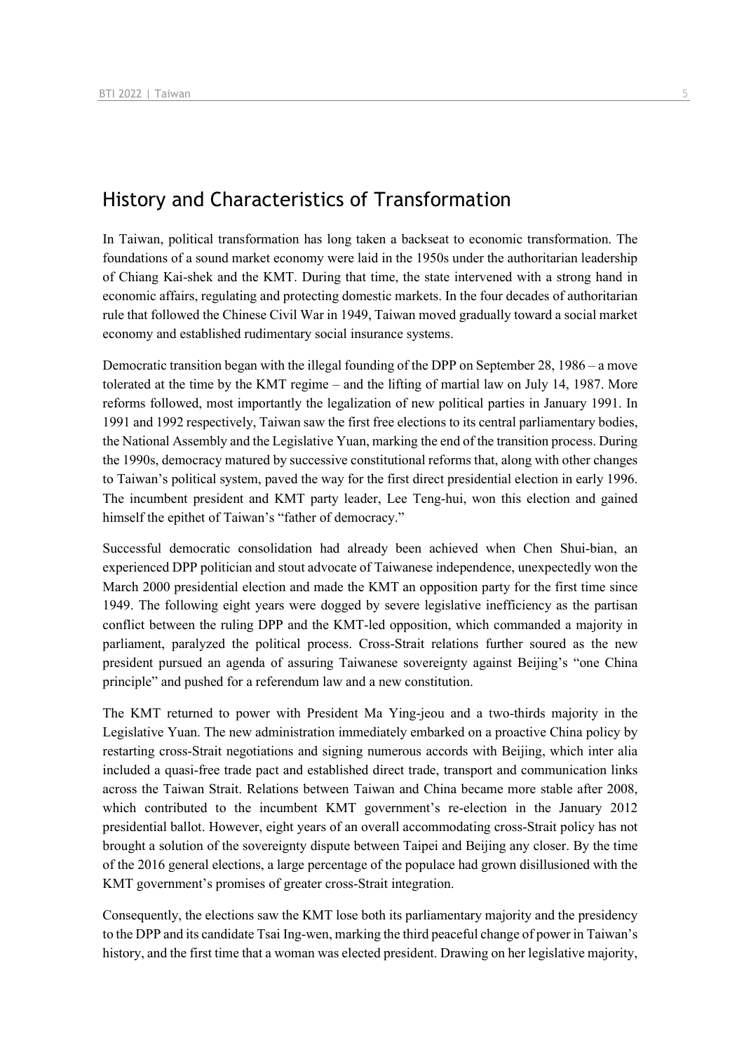## History and Characteristics of Transformation

In Taiwan, political transformation has long taken a backseat to economic transformation. The foundations of a sound market economy were laid in the 1950s under the authoritarian leadership of Chiang Kai-shek and the KMT. During that time, the state intervened with a strong hand in economic affairs, regulating and protecting domestic markets. In the four decades of authoritarian rule that followed the Chinese Civil War in 1949, Taiwan moved gradually toward a social market economy and established rudimentary social insurance systems.

Democratic transition began with the illegal founding of the DPP on September 28, 1986 – a move tolerated at the time by the KMT regime – and the lifting of martial law on July 14, 1987. More reforms followed, most importantly the legalization of new political parties in January 1991. In 1991 and 1992 respectively, Taiwan saw the first free elections to its central parliamentary bodies, the National Assembly and the Legislative Yuan, marking the end of the transition process. During the 1990s, democracy matured by successive constitutional reforms that, along with other changes to Taiwan's political system, paved the way for the first direct presidential election in early 1996. The incumbent president and KMT party leader, Lee Teng-hui, won this election and gained himself the epithet of Taiwan's "father of democracy."

Successful democratic consolidation had already been achieved when Chen Shui-bian, an experienced DPP politician and stout advocate of Taiwanese independence, unexpectedly won the March 2000 presidential election and made the KMT an opposition party for the first time since 1949. The following eight years were dogged by severe legislative inefficiency as the partisan conflict between the ruling DPP and the KMT-led opposition, which commanded a majority in parliament, paralyzed the political process. Cross-Strait relations further soured as the new president pursued an agenda of assuring Taiwanese sovereignty against Beijing's "one China principle" and pushed for a referendum law and a new constitution.

The KMT returned to power with President Ma Ying-jeou and a two-thirds majority in the Legislative Yuan. The new administration immediately embarked on a proactive China policy by restarting cross-Strait negotiations and signing numerous accords with Beijing, which inter alia included a quasi-free trade pact and established direct trade, transport and communication links across the Taiwan Strait. Relations between Taiwan and China became more stable after 2008, which contributed to the incumbent KMT government's re-election in the January 2012 presidential ballot. However, eight years of an overall accommodating cross-Strait policy has not brought a solution of the sovereignty dispute between Taipei and Beijing any closer. By the time of the 2016 general elections, a large percentage of the populace had grown disillusioned with the KMT government's promises of greater cross-Strait integration.

Consequently, the elections saw the KMT lose both its parliamentary majority and the presidency to the DPP and its candidate Tsai Ing-wen, marking the third peaceful change of power in Taiwan's history, and the first time that a woman was elected president. Drawing on her legislative majority,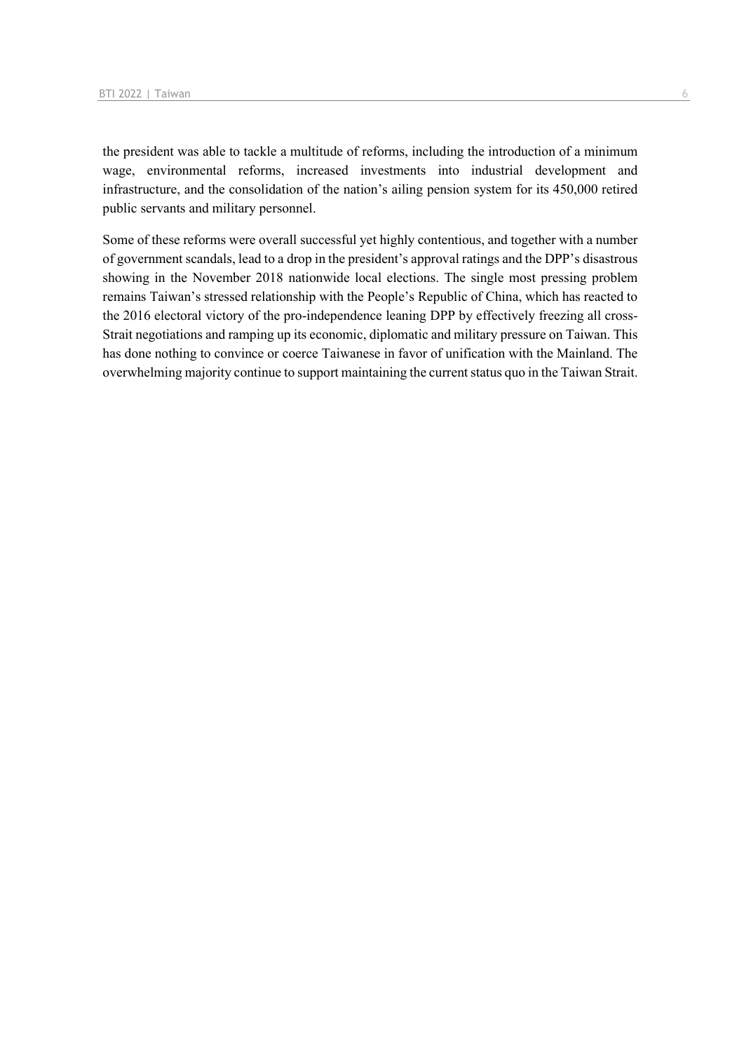the president was able to tackle a multitude of reforms, including the introduction of a minimum wage, environmental reforms, increased investments into industrial development and infrastructure, and the consolidation of the nation's ailing pension system for its 450,000 retired public servants and military personnel.

Some of these reforms were overall successful yet highly contentious, and together with a number of government scandals, lead to a drop in the president's approval ratings and the DPP's disastrous showing in the November 2018 nationwide local elections. The single most pressing problem remains Taiwan's stressed relationship with the People's Republic of China, which has reacted to the 2016 electoral victory of the pro-independence leaning DPP by effectively freezing all cross-Strait negotiations and ramping up its economic, diplomatic and military pressure on Taiwan. This has done nothing to convince or coerce Taiwanese in favor of unification with the Mainland. The overwhelming majority continue to support maintaining the current status quo in the Taiwan Strait.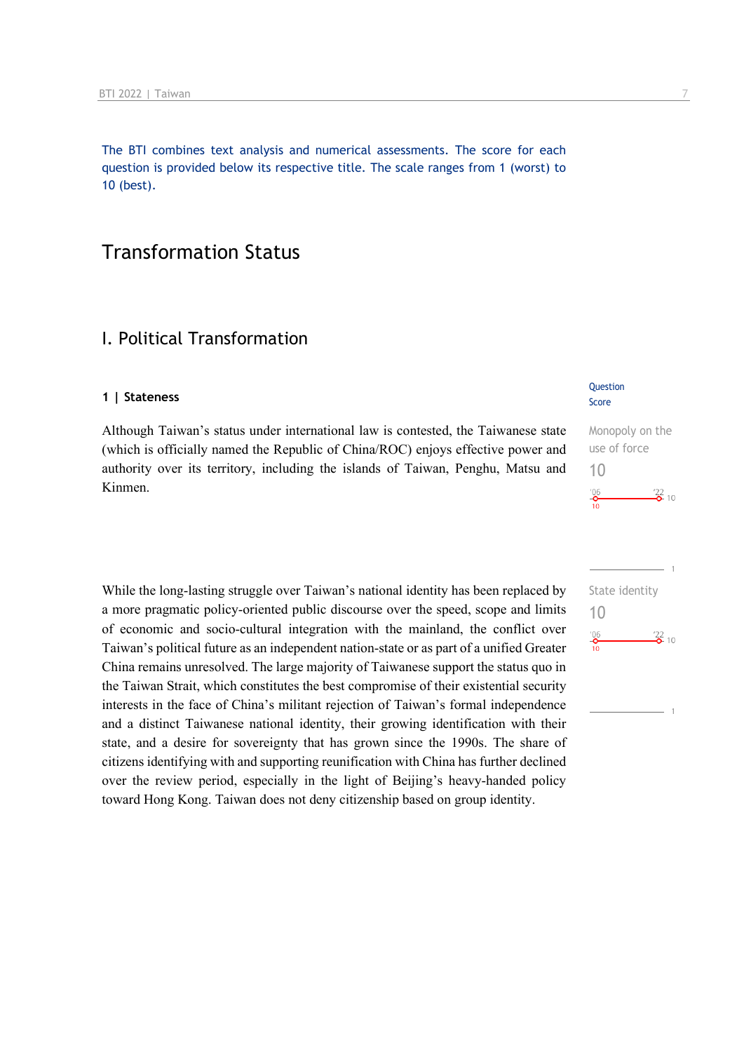The BTI combines text analysis and numerical assessments. The score for each question is provided below its respective title. The scale ranges from 1 (worst) to 10 (best).

## Transformation Status

## I. Political Transformation

#### **1 | Stateness**

Although Taiwan's status under international law is contested, the Taiwanese state (which is officially named the Republic of China/ROC) enjoys effective power and authority over its territory, including the islands of Taiwan, Penghu, Matsu and Kinmen.

While the long-lasting struggle over Taiwan's national identity has been replaced by a more pragmatic policy-oriented public discourse over the speed, scope and limits of economic and socio-cultural integration with the mainland, the conflict over Taiwan's political future as an independent nation-state or as part of a unified Greater China remains unresolved. The large majority of Taiwanese support the status quo in the Taiwan Strait, which constitutes the best compromise of their existential security interests in the face of China's militant rejection of Taiwan's formal independence and a distinct Taiwanese national identity, their growing identification with their state, and a desire for sovereignty that has grown since the 1990s. The share of citizens identifying with and supporting reunification with China has further declined over the review period, especially in the light of Beijing's heavy-handed policy toward Hong Kong. Taiwan does not deny citizenship based on group identity.

#### **Question** Score

### Monopoly on the use of force 10  $\frac{22}{2}$  10  $^{206}$

| State identity<br>10 |                   |  |
|----------------------|-------------------|--|
| '06<br>10            | $\frac{22}{6}$ 10 |  |
|                      |                   |  |
|                      |                   |  |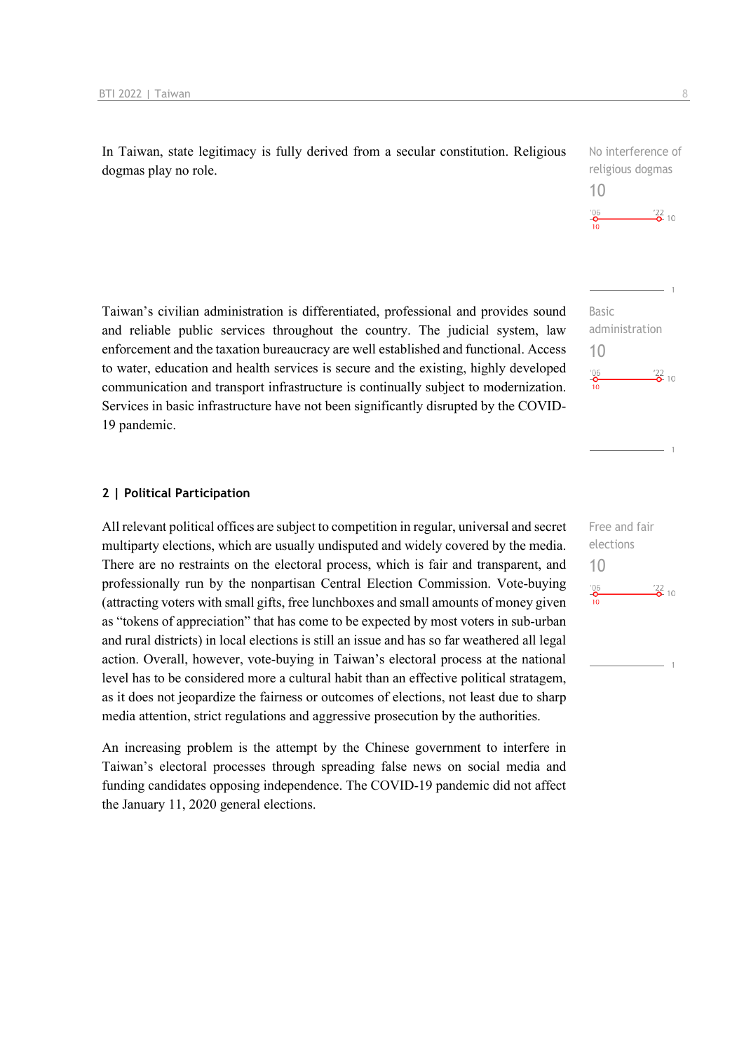In Taiwan, state legitimacy is fully derived from a secular constitution. Religious dogmas play no role.

Taiwan's civilian administration is differentiated, professional and provides sound and reliable public services throughout the country. The judicial system, law enforcement and the taxation bureaucracy are well established and functional. Access to water, education and health services is secure and the existing, highly developed communication and transport infrastructure is continually subject to modernization. Services in basic infrastructure have not been significantly disrupted by the COVID-19 pandemic.

#### **2 | Political Participation**

All relevant political offices are subject to competition in regular, universal and secret multiparty elections, which are usually undisputed and widely covered by the media. There are no restraints on the electoral process, which is fair and transparent, and professionally run by the nonpartisan Central Election Commission. Vote-buying (attracting voters with small gifts, free lunchboxes and small amounts of money given as "tokens of appreciation" that has come to be expected by most voters in sub-urban and rural districts) in local elections is still an issue and has so far weathered all legal action. Overall, however, vote-buying in Taiwan's electoral process at the national level has to be considered more a cultural habit than an effective political stratagem, as it does not jeopardize the fairness or outcomes of elections, not least due to sharp media attention, strict regulations and aggressive prosecution by the authorities.

An increasing problem is the attempt by the Chinese government to interfere in Taiwan's electoral processes through spreading false news on social media and funding candidates opposing independence. The COVID-19 pandemic did not affect the January 11, 2020 general elections.

Free and fair elections 10 $^{206}_{-0}$  $\frac{22}{2}$  10



No interference of

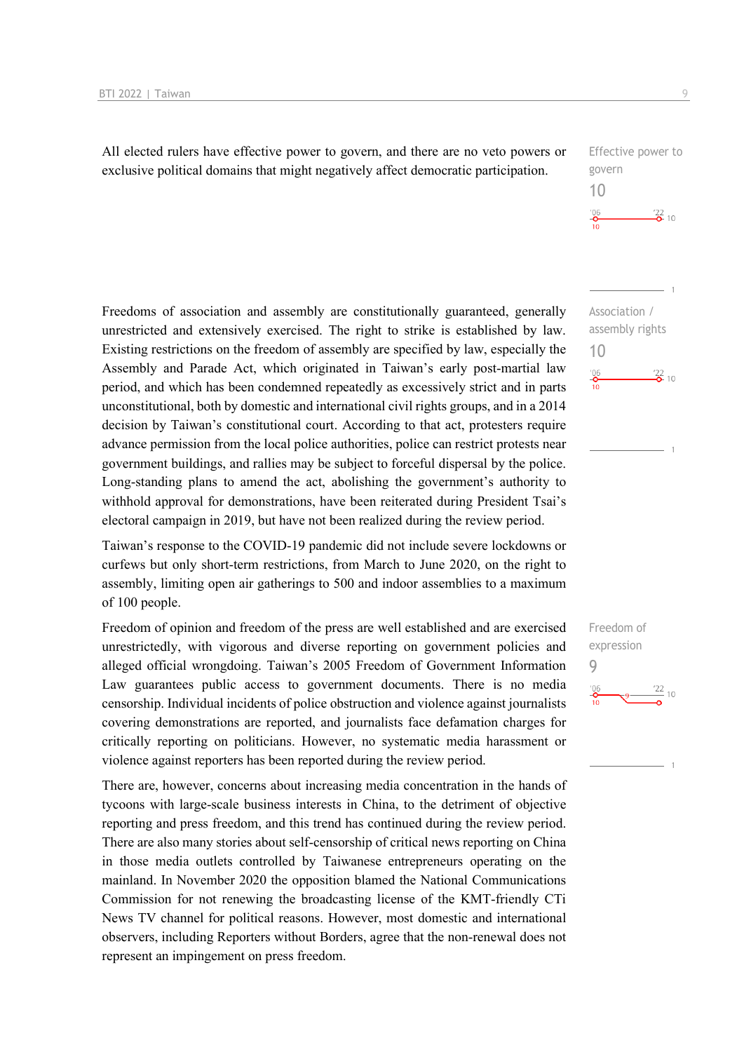All elected rulers have effective power to govern, and there are no veto powers or exclusive political domains that might negatively affect democratic participation.

| Effective power to     |                   |
|------------------------|-------------------|
| govern                 |                   |
| 1()                    |                   |
| '06<br>$\overline{10}$ | $\frac{22}{2}$ 10 |

Association / assembly rights

 $\frac{22}{2}$  10

10

 $^{206}$ 

Freedoms of association and assembly are constitutionally guaranteed, generally unrestricted and extensively exercised. The right to strike is established by law. Existing restrictions on the freedom of assembly are specified by law, especially the Assembly and Parade Act, which originated in Taiwan's early post-martial law period, and which has been condemned repeatedly as excessively strict and in parts unconstitutional, both by domestic and international civil rights groups, and in a 2014 decision by Taiwan's constitutional court. According to that act, protesters require advance permission from the local police authorities, police can restrict protests near government buildings, and rallies may be subject to forceful dispersal by the police. Long-standing plans to amend the act, abolishing the government's authority to withhold approval for demonstrations, have been reiterated during President Tsai's electoral campaign in 2019, but have not been realized during the review period.

Taiwan's response to the COVID-19 pandemic did not include severe lockdowns or curfews but only short-term restrictions, from March to June 2020, on the right to assembly, limiting open air gatherings to 500 and indoor assemblies to a maximum of 100 people.

Freedom of opinion and freedom of the press are well established and are exercised unrestrictedly, with vigorous and diverse reporting on government policies and alleged official wrongdoing. Taiwan's 2005 Freedom of Government Information Law guarantees public access to government documents. There is no media censorship. Individual incidents of police obstruction and violence against journalists covering demonstrations are reported, and journalists face defamation charges for critically reporting on politicians. However, no systematic media harassment or violence against reporters has been reported during the review period.

There are, however, concerns about increasing media concentration in the hands of tycoons with large-scale business interests in China, to the detriment of objective reporting and press freedom, and this trend has continued during the review period. There are also many stories about self-censorship of critical news reporting on China in those media outlets controlled by Taiwanese entrepreneurs operating on the mainland. In November 2020 the opposition blamed the National Communications Commission for not renewing the broadcasting license of the KMT-friendly CTi News TV channel for political reasons. However, most domestic and international observers, including Reporters without Borders, agree that the non-renewal does not represent an impingement on press freedom.

Freedom of expression 9

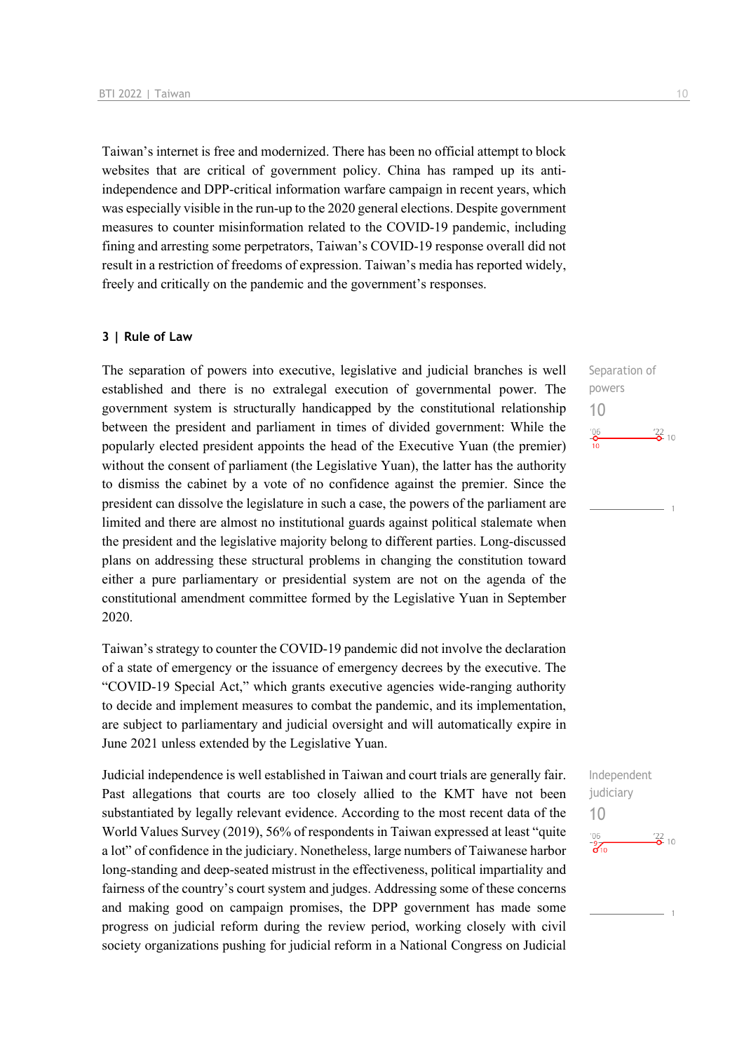Taiwan's internet is free and modernized. There has been no official attempt to block websites that are critical of government policy. China has ramped up its antiindependence and DPP-critical information warfare campaign in recent years, which was especially visible in the run-up to the 2020 general elections. Despite government measures to counter misinformation related to the COVID-19 pandemic, including fining and arresting some perpetrators, Taiwan's COVID-19 response overall did not result in a restriction of freedoms of expression. Taiwan's media has reported widely, freely and critically on the pandemic and the government's responses.

#### **3 | Rule of Law**

The separation of powers into executive, legislative and judicial branches is well established and there is no extralegal execution of governmental power. The government system is structurally handicapped by the constitutional relationship between the president and parliament in times of divided government: While the popularly elected president appoints the head of the Executive Yuan (the premier) without the consent of parliament (the Legislative Yuan), the latter has the authority to dismiss the cabinet by a vote of no confidence against the premier. Since the president can dissolve the legislature in such a case, the powers of the parliament are limited and there are almost no institutional guards against political stalemate when the president and the legislative majority belong to different parties. Long-discussed plans on addressing these structural problems in changing the constitution toward either a pure parliamentary or presidential system are not on the agenda of the constitutional amendment committee formed by the Legislative Yuan in September 2020.

Taiwan's strategy to counter the COVID-19 pandemic did not involve the declaration of a state of emergency or the issuance of emergency decrees by the executive. The "COVID-19 Special Act," which grants executive agencies wide-ranging authority to decide and implement measures to combat the pandemic, and its implementation, are subject to parliamentary and judicial oversight and will automatically expire in June 2021 unless extended by the Legislative Yuan.

Judicial independence is well established in Taiwan and court trials are generally fair. Past allegations that courts are too closely allied to the KMT have not been substantiated by legally relevant evidence. According to the most recent data of the World Values Survey (2019), 56% of respondents in Taiwan expressed at least "quite a lot" of confidence in the judiciary. Nonetheless, large numbers of Taiwanese harbor long-standing and deep-seated mistrust in the effectiveness, political impartiality and fairness of the country's court system and judges. Addressing some of these concerns and making good on campaign promises, the DPP government has made some progress on judicial reform during the review period, working closely with civil society organizations pushing for judicial reform in a National Congress on Judicial

Separation of powers 10  $\frac{106}{2}$  $\frac{22}{2}$  10

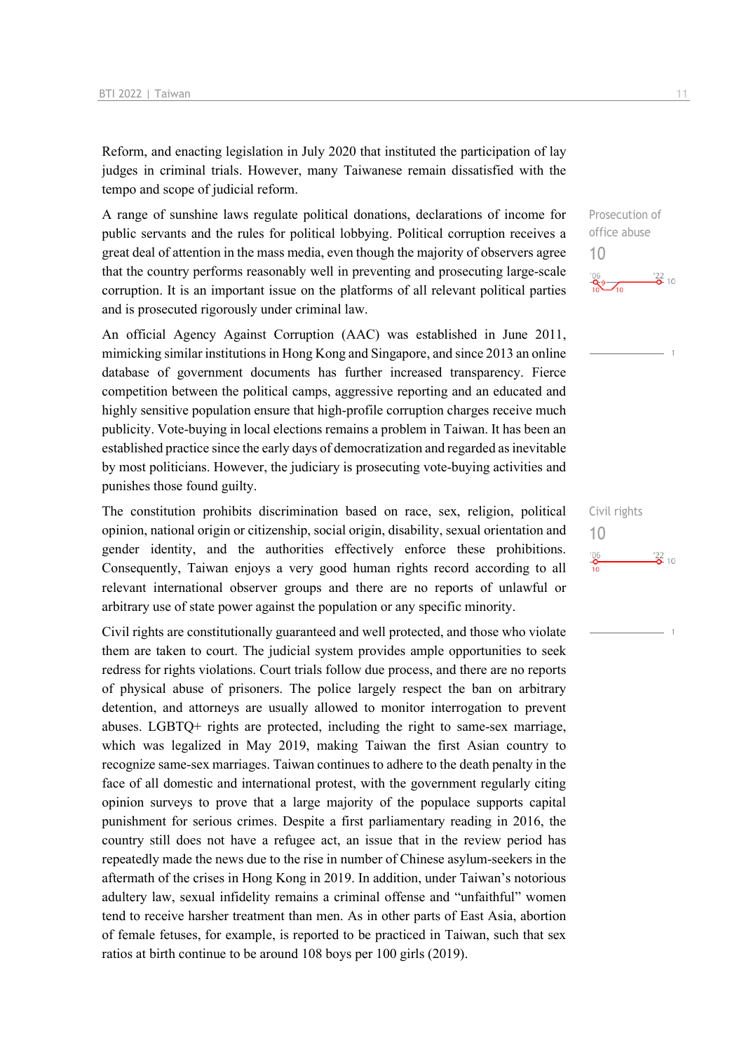Reform, and enacting legislation in July 2020 that instituted the participation of lay judges in criminal trials. However, many Taiwanese remain dissatisfied with the tempo and scope of judicial reform.

A range of sunshine laws regulate political donations, declarations of income for public servants and the rules for political lobbying. Political corruption receives a great deal of attention in the mass media, even though the majority of observers agree that the country performs reasonably well in preventing and prosecuting large-scale corruption. It is an important issue on the platforms of all relevant political parties and is prosecuted rigorously under criminal law.

An official Agency Against Corruption (AAC) was established in June 2011, mimicking similar institutions in Hong Kong and Singapore, and since 2013 an online database of government documents has further increased transparency. Fierce competition between the political camps, aggressive reporting and an educated and highly sensitive population ensure that high-profile corruption charges receive much publicity. Vote-buying in local elections remains a problem in Taiwan. It has been an established practice since the early days of democratization and regarded as inevitable by most politicians. However, the judiciary is prosecuting vote-buying activities and punishes those found guilty.

The constitution prohibits discrimination based on race, sex, religion, political opinion, national origin or citizenship, social origin, disability, sexual orientation and gender identity, and the authorities effectively enforce these prohibitions. Consequently, Taiwan enjoys a very good human rights record according to all relevant international observer groups and there are no reports of unlawful or arbitrary use of state power against the population or any specific minority.

Civil rights are constitutionally guaranteed and well protected, and those who violate them are taken to court. The judicial system provides ample opportunities to seek redress for rights violations. Court trials follow due process, and there are no reports of physical abuse of prisoners. The police largely respect the ban on arbitrary detention, and attorneys are usually allowed to monitor interrogation to prevent abuses. LGBTQ+ rights are protected, including the right to same-sex marriage, which was legalized in May 2019, making Taiwan the first Asian country to recognize same-sex marriages. Taiwan continues to adhere to the death penalty in the face of all domestic and international protest, with the government regularly citing opinion surveys to prove that a large majority of the populace supports capital punishment for serious crimes. Despite a first parliamentary reading in 2016, the country still does not have a refugee act, an issue that in the review period has repeatedly made the news due to the rise in number of Chinese asylum-seekers in the aftermath of the crises in Hong Kong in 2019. In addition, under Taiwan's notorious adultery law, sexual infidelity remains a criminal offense and "unfaithful" women tend to receive harsher treatment than men. As in other parts of East Asia, abortion of female fetuses, for example, is reported to be practiced in Taiwan, such that sex ratios at birth continue to be around 108 boys per 100 girls (2019).

Prosecution of office abuse 10  $\frac{106}{10}$   $\frac{122}{0}$  10

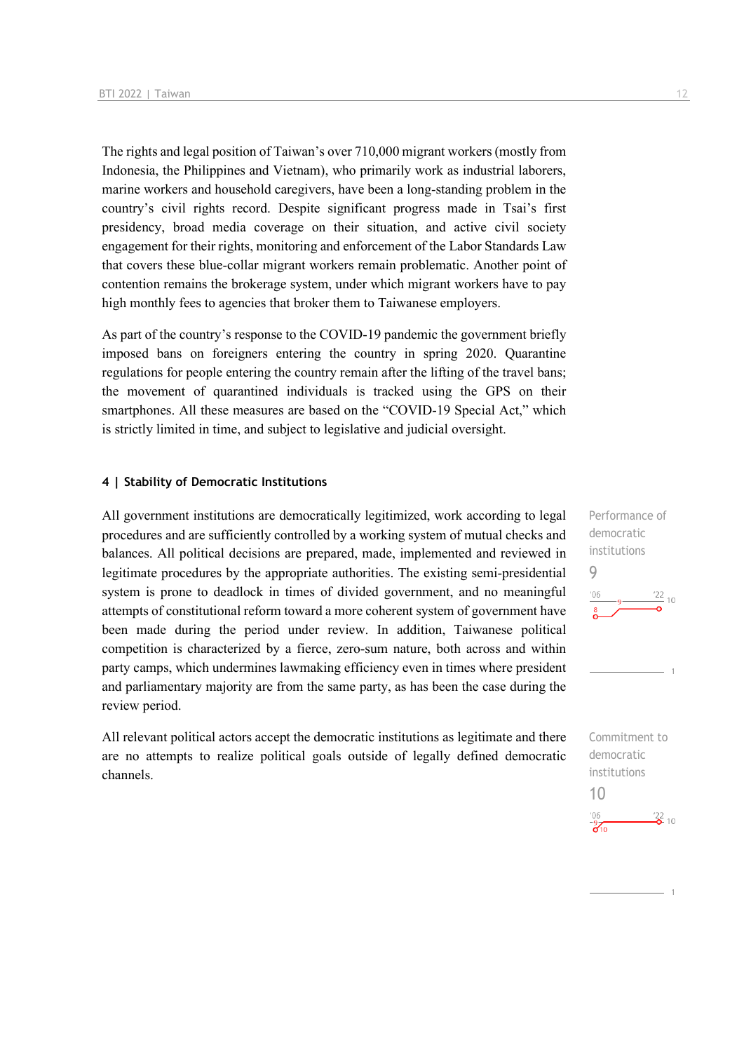The rights and legal position of Taiwan's over 710,000 migrant workers (mostly from Indonesia, the Philippines and Vietnam), who primarily work as industrial laborers, marine workers and household caregivers, have been a long-standing problem in the country's civil rights record. Despite significant progress made in Tsai's first presidency, broad media coverage on their situation, and active civil society engagement for their rights, monitoring and enforcement of the Labor Standards Law that covers these blue-collar migrant workers remain problematic. Another point of contention remains the brokerage system, under which migrant workers have to pay high monthly fees to agencies that broker them to Taiwanese employers.

As part of the country's response to the COVID-19 pandemic the government briefly imposed bans on foreigners entering the country in spring 2020. Quarantine regulations for people entering the country remain after the lifting of the travel bans; the movement of quarantined individuals is tracked using the GPS on their smartphones. All these measures are based on the "COVID-19 Special Act," which is strictly limited in time, and subject to legislative and judicial oversight.

#### **4 | Stability of Democratic Institutions**

All government institutions are democratically legitimized, work according to legal procedures and are sufficiently controlled by a working system of mutual checks and balances. All political decisions are prepared, made, implemented and reviewed in legitimate procedures by the appropriate authorities. The existing semi-presidential system is prone to deadlock in times of divided government, and no meaningful attempts of constitutional reform toward a more coherent system of government have been made during the period under review. In addition, Taiwanese political competition is characterized by a fierce, zero-sum nature, both across and within party camps, which undermines lawmaking efficiency even in times where president and parliamentary majority are from the same party, as has been the case during the review period.

All relevant political actors accept the democratic institutions as legitimate and there are no attempts to realize political goals outside of legally defined democratic channels.

Performance of democratic institutions 9  $\frac{22}{10}$ 

Commitment to democratic institutions 10 $\frac{106}{310}$  $\frac{22}{2}$  10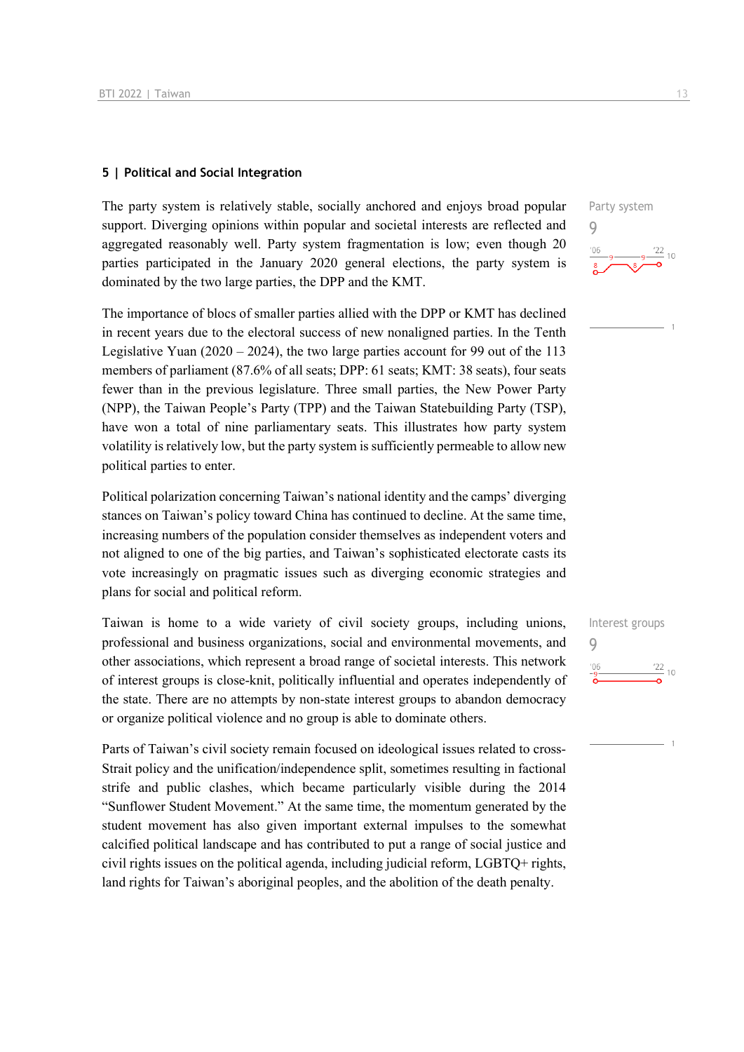#### **5 | Political and Social Integration**

The party system is relatively stable, socially anchored and enjoys broad popular support. Diverging opinions within popular and societal interests are reflected and aggregated reasonably well. Party system fragmentation is low; even though 20 parties participated in the January 2020 general elections, the party system is dominated by the two large parties, the DPP and the KMT.

The importance of blocs of smaller parties allied with the DPP or KMT has declined in recent years due to the electoral success of new nonaligned parties. In the Tenth Legislative Yuan  $(2020 - 2024)$ , the two large parties account for 99 out of the 113 members of parliament (87.6% of all seats; DPP: 61 seats; KMT: 38 seats), four seats fewer than in the previous legislature. Three small parties, the New Power Party (NPP), the Taiwan People's Party (TPP) and the Taiwan Statebuilding Party (TSP), have won a total of nine parliamentary seats. This illustrates how party system volatility is relatively low, but the party system is sufficiently permeable to allow new political parties to enter.

Political polarization concerning Taiwan's national identity and the camps' diverging stances on Taiwan's policy toward China has continued to decline. At the same time, increasing numbers of the population consider themselves as independent voters and not aligned to one of the big parties, and Taiwan's sophisticated electorate casts its vote increasingly on pragmatic issues such as diverging economic strategies and plans for social and political reform.

Taiwan is home to a wide variety of civil society groups, including unions, professional and business organizations, social and environmental movements, and other associations, which represent a broad range of societal interests. This network of interest groups is close-knit, politically influential and operates independently of the state. There are no attempts by non-state interest groups to abandon democracy or organize political violence and no group is able to dominate others.

Parts of Taiwan's civil society remain focused on ideological issues related to cross-Strait policy and the unification/independence split, sometimes resulting in factional strife and public clashes, which became particularly visible during the 2014 "Sunflower Student Movement." At the same time, the momentum generated by the student movement has also given important external impulses to the somewhat calcified political landscape and has contributed to put a range of social justice and civil rights issues on the political agenda, including judicial reform, LGBTQ+ rights, land rights for Taiwan's aboriginal peoples, and the abolition of the death penalty.



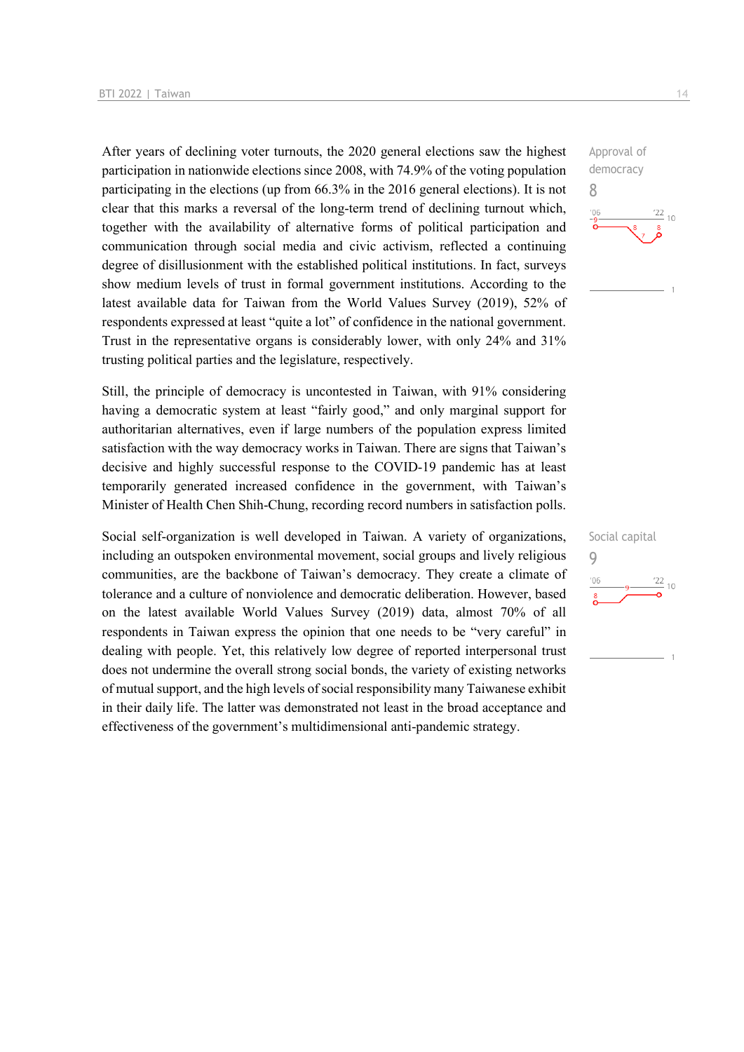After years of declining voter turnouts, the 2020 general elections saw the highest participation in nationwide elections since 2008, with 74.9% of the voting population participating in the elections (up from 66.3% in the 2016 general elections). It is not clear that this marks a reversal of the long-term trend of declining turnout which, together with the availability of alternative forms of political participation and communication through social media and civic activism, reflected a continuing degree of disillusionment with the established political institutions. In fact, surveys show medium levels of trust in formal government institutions. According to the latest available data for Taiwan from the World Values Survey (2019), 52% of respondents expressed at least "quite a lot" of confidence in the national government. Trust in the representative organs is considerably lower, with only 24% and 31% trusting political parties and the legislature, respectively.

Still, the principle of democracy is uncontested in Taiwan, with 91% considering having a democratic system at least "fairly good," and only marginal support for authoritarian alternatives, even if large numbers of the population express limited satisfaction with the way democracy works in Taiwan. There are signs that Taiwan's decisive and highly successful response to the COVID-19 pandemic has at least temporarily generated increased confidence in the government, with Taiwan's Minister of Health Chen Shih-Chung, recording record numbers in satisfaction polls.

Social self-organization is well developed in Taiwan. A variety of organizations, including an outspoken environmental movement, social groups and lively religious communities, are the backbone of Taiwan's democracy. They create a climate of tolerance and a culture of nonviolence and democratic deliberation. However, based on the latest available World Values Survey (2019) data, almost 70% of all respondents in Taiwan express the opinion that one needs to be "very careful" in dealing with people. Yet, this relatively low degree of reported interpersonal trust does not undermine the overall strong social bonds, the variety of existing networks of mutual support, and the high levels of social responsibility many Taiwanese exhibit in their daily life. The latter was demonstrated not least in the broad acceptance and effectiveness of the government's multidimensional anti-pandemic strategy.

Approval of democracy 8  $10$ 

## Social capital 9 $\frac{22}{10}$  $106$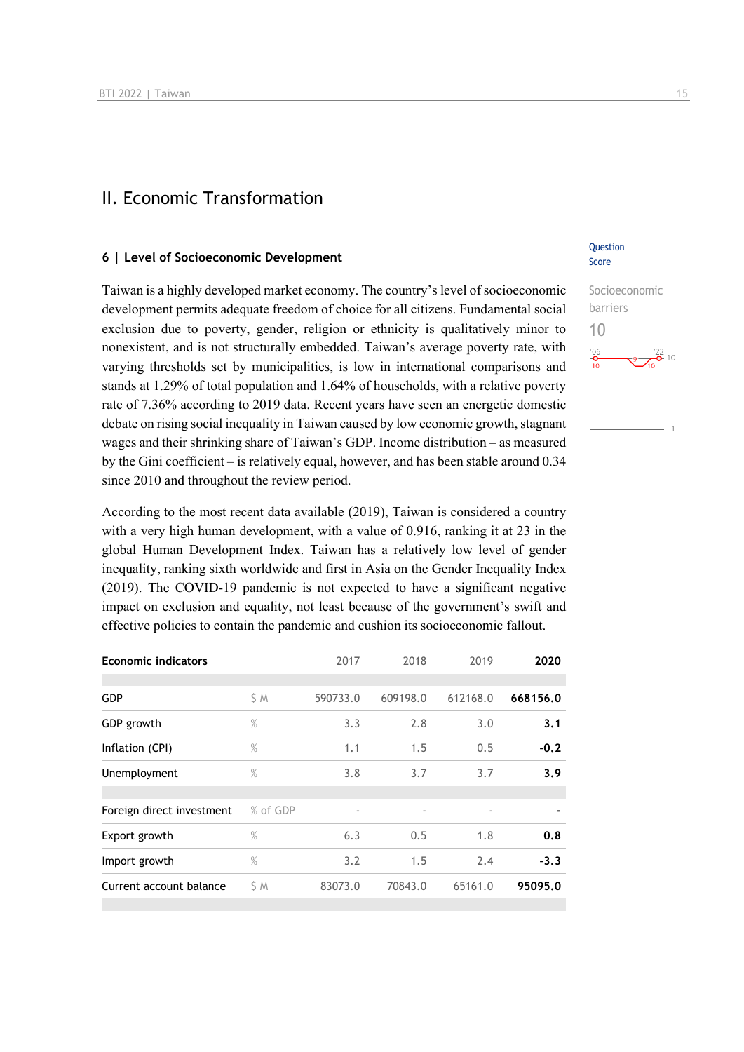## II. Economic Transformation

#### **6 | Level of Socioeconomic Development**

Taiwan is a highly developed market economy. The country's level of socioeconomic development permits adequate freedom of choice for all citizens. Fundamental social exclusion due to poverty, gender, religion or ethnicity is qualitatively minor to nonexistent, and is not structurally embedded. Taiwan's average poverty rate, with varying thresholds set by municipalities, is low in international comparisons and stands at 1.29% of total population and 1.64% of households, with a relative poverty rate of 7.36% according to 2019 data. Recent years have seen an energetic domestic debate on rising social inequality in Taiwan caused by low economic growth, stagnant wages and their shrinking share of Taiwan's GDP. Income distribution – as measured by the Gini coefficient – is relatively equal, however, and has been stable around 0.34 since 2010 and throughout the review period.

According to the most recent data available (2019), Taiwan is considered a country with a very high human development, with a value of 0.916, ranking it at 23 in the global Human Development Index. Taiwan has a relatively low level of gender inequality, ranking sixth worldwide and first in Asia on the Gender Inequality Index (2019). The COVID-19 pandemic is not expected to have a significant negative impact on exclusion and equality, not least because of the government's swift and effective policies to contain the pandemic and cushion its socioeconomic fallout.

| <b>Economic indicators</b> |          | 2017     | 2018     | 2019     | 2020     |
|----------------------------|----------|----------|----------|----------|----------|
| <b>GDP</b>                 | S M      | 590733.0 | 609198.0 | 612168.0 | 668156.0 |
| GDP growth                 | $\%$     | 3.3      | 2.8      | 3.0      | 3.1      |
| Inflation (CPI)            | $\%$     | 1.1      | 1.5      | 0.5      | $-0.2$   |
| Unemployment               | $\%$     | 3.8      | 3.7      | 3.7      | 3.9      |
|                            |          |          |          |          |          |
| Foreign direct investment  | % of GDP |          |          |          |          |
| Export growth              | $\%$     | 6.3      | 0.5      | 1.8      | 0.8      |
| Import growth              | $\%$     | 3.2      | 1.5      | 2.4      | $-3.3$   |
| Current account balance    | S M      | 83073.0  | 70843.0  | 65161.0  | 95095.0  |
|                            |          |          |          |          |          |

#### **Ouestion** Score

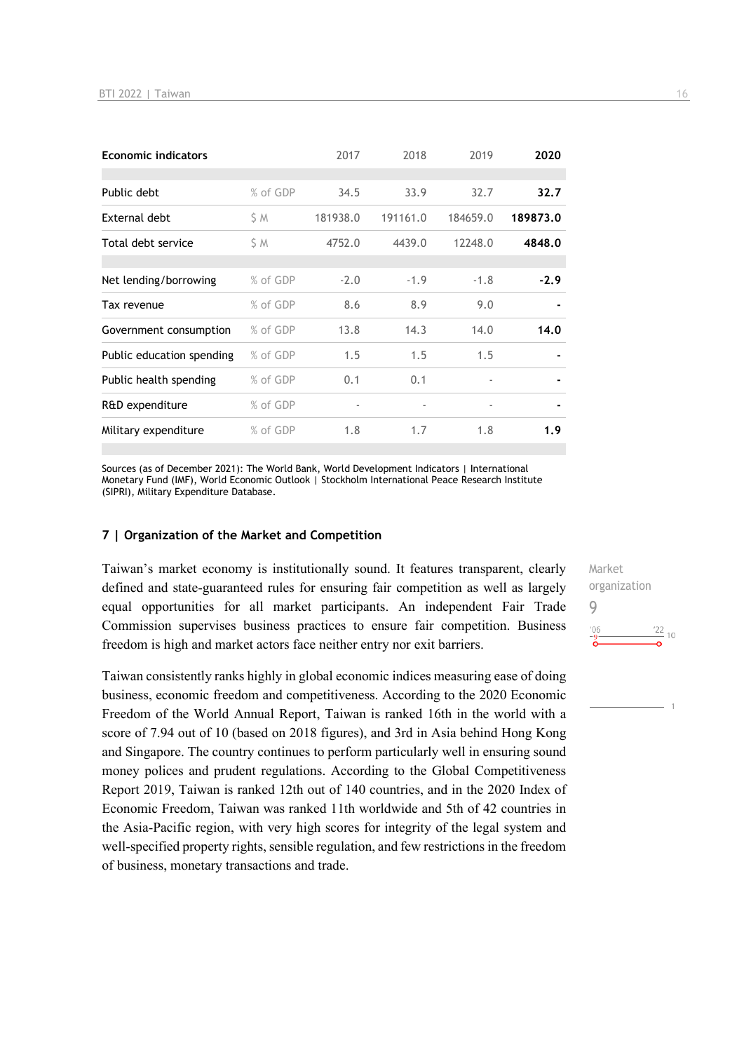| <b>Economic indicators</b> |          | 2017     | 2018     | 2019                     | 2020     |
|----------------------------|----------|----------|----------|--------------------------|----------|
|                            |          |          |          |                          |          |
| Public debt                | % of GDP | 34.5     | 33.9     | 32.7                     | 32.7     |
| External debt              | ŚΜ       | 181938.0 | 191161.0 | 184659.0                 | 189873.0 |
| Total debt service         | S M      | 4752.0   | 4439.0   | 12248.0                  | 4848.0   |
|                            |          |          |          |                          |          |
| Net lending/borrowing      | % of GDP | $-2.0$   | $-1.9$   | $-1.8$                   | $-2.9$   |
| Tax revenue                | % of GDP | 8.6      | 8.9      | 9.0                      |          |
| Government consumption     | % of GDP | 13.8     | 14.3     | 14.0                     | 14.0     |
| Public education spending  | % of GDP | 1.5      | 1.5      | 1.5                      |          |
| Public health spending     | % of GDP | 0.1      | 0.1      |                          |          |
| R&D expenditure            | % of GDP | ٠        |          | $\overline{\phantom{a}}$ |          |
| Military expenditure       | % of GDP | 1.8      | 1.7      | 1.8                      | 1.9      |

Sources (as of December 2021): The World Bank, World Development Indicators | International Monetary Fund (IMF), World Economic Outlook | Stockholm International Peace Research Institute (SIPRI), Military Expenditure Database.

#### **7 | Organization of the Market and Competition**

Taiwan's market economy is institutionally sound. It features transparent, clearly defined and state-guaranteed rules for ensuring fair competition as well as largely equal opportunities for all market participants. An independent Fair Trade Commission supervises business practices to ensure fair competition. Business freedom is high and market actors face neither entry nor exit barriers.

Taiwan consistently ranks highly in global economic indices measuring ease of doing business, economic freedom and competitiveness. According to the 2020 Economic Freedom of the World Annual Report, Taiwan is ranked 16th in the world with a score of 7.94 out of 10 (based on 2018 figures), and 3rd in Asia behind Hong Kong and Singapore. The country continues to perform particularly well in ensuring sound money polices and prudent regulations. According to the Global Competitiveness Report 2019, Taiwan is ranked 12th out of 140 countries, and in the 2020 Index of Economic Freedom, Taiwan was ranked 11th worldwide and 5th of 42 countries in the Asia-Pacific region, with very high scores for integrity of the legal system and well-specified property rights, sensible regulation, and few restrictions in the freedom of business, monetary transactions and trade.

Market organization 9 $\frac{22}{10}$  $'06$ 

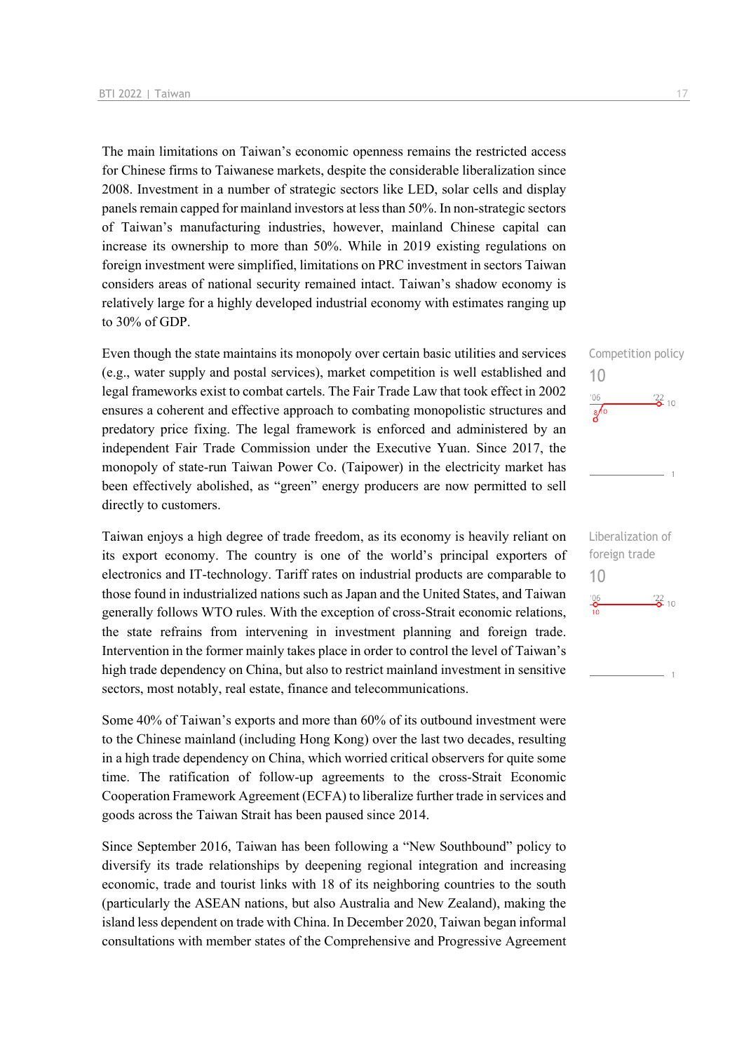The main limitations on Taiwan's economic openness remains the restricted access for Chinese firms to Taiwanese markets, despite the considerable liberalization since 2008. Investment in a number of strategic sectors like LED, solar cells and display panels remain capped for mainland investors at less than 50%. In non-strategic sectors of Taiwan's manufacturing industries, however, mainland Chinese capital can increase its ownership to more than 50%. While in 2019 existing regulations on foreign investment were simplified, limitations on PRC investment in sectors Taiwan considers areas of national security remained intact. Taiwan's shadow economy is relatively large for a highly developed industrial economy with estimates ranging up to 30% of GDP.

Even though the state maintains its monopoly over certain basic utilities and services (e.g., water supply and postal services), market competition is well established and legal frameworks exist to combat cartels. The Fair Trade Law that took effect in 2002 ensures a coherent and effective approach to combating monopolistic structures and predatory price fixing. The legal framework is enforced and administered by an independent Fair Trade Commission under the Executive Yuan. Since 2017, the monopoly of state-run Taiwan Power Co. (Taipower) in the electricity market has been effectively abolished, as "green" energy producers are now permitted to sell directly to customers.

Taiwan enjoys a high degree of trade freedom, as its economy is heavily reliant on its export economy. The country is one of the world's principal exporters of electronics and IT-technology. Tariff rates on industrial products are comparable to those found in industrialized nations such as Japan and the United States, and Taiwan generally follows WTO rules. With the exception of cross-Strait economic relations, the state refrains from intervening in investment planning and foreign trade. Intervention in the former mainly takes place in order to control the level of Taiwan's high trade dependency on China, but also to restrict mainland investment in sensitive sectors, most notably, real estate, finance and telecommunications.

Some 40% of Taiwan's exports and more than 60% of its outbound investment were to the Chinese mainland (including Hong Kong) over the last two decades, resulting in a high trade dependency on China, which worried critical observers for quite some time. The ratification of follow-up agreements to the cross-Strait Economic Cooperation Framework Agreement (ECFA) to liberalize further trade in services and goods across the Taiwan Strait has been paused since 2014.

Since September 2016, Taiwan has been following a "New Southbound" policy to diversify its trade relationships by deepening regional integration and increasing economic, trade and tourist links with 18 of its neighboring countries to the south (particularly the ASEAN nations, but also Australia and New Zealand), making the island less dependent on trade with China. In December 2020, Taiwan began informal consultations with member states of the Comprehensive and Progressive Agreement Competition policy 10  $106$  $\frac{22}{2}$  10  $\sqrt{6}$ 

 $\overline{1}$ 

Liberalization of foreign trade 10 $^{106}_{-0}$  $\frac{22}{2}$  10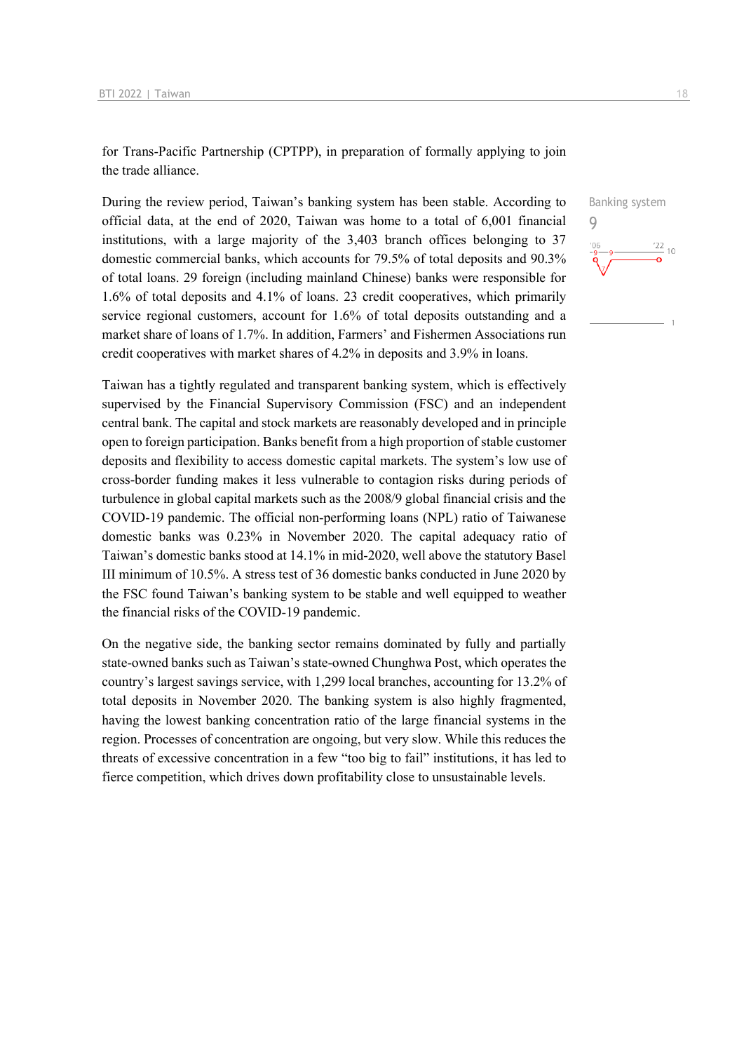for Trans-Pacific Partnership (CPTPP), in preparation of formally applying to join the trade alliance.

During the review period, Taiwan's banking system has been stable. According to official data, at the end of 2020, Taiwan was home to a total of 6,001 financial institutions, with a large majority of the 3,403 branch offices belonging to 37 domestic commercial banks, which accounts for 79.5% of total deposits and 90.3% of total loans. 29 foreign (including mainland Chinese) banks were responsible for 1.6% of total deposits and 4.1% of loans. 23 credit cooperatives, which primarily service regional customers, account for 1.6% of total deposits outstanding and a market share of loans of 1.7%. In addition, Farmers' and Fishermen Associations run credit cooperatives with market shares of 4.2% in deposits and 3.9% in loans.

Taiwan has a tightly regulated and transparent banking system, which is effectively supervised by the Financial Supervisory Commission (FSC) and an independent central bank. The capital and stock markets are reasonably developed and in principle open to foreign participation. Banks benefit from a high proportion of stable customer deposits and flexibility to access domestic capital markets. The system's low use of cross-border funding makes it less vulnerable to contagion risks during periods of turbulence in global capital markets such as the 2008/9 global financial crisis and the COVID-19 pandemic. The official non-performing loans (NPL) ratio of Taiwanese domestic banks was 0.23% in November 2020. The capital adequacy ratio of Taiwan's domestic banks stood at 14.1% in mid-2020, well above the statutory Basel III minimum of 10.5%. A stress test of 36 domestic banks conducted in June 2020 by the FSC found Taiwan's banking system to be stable and well equipped to weather the financial risks of the COVID-19 pandemic.

On the negative side, the banking sector remains dominated by fully and partially state-owned banks such as Taiwan's state-owned Chunghwa Post, which operates the country's largest savings service, with 1,299 local branches, accounting for 13.2% of total deposits in November 2020. The banking system is also highly fragmented, having the lowest banking concentration ratio of the large financial systems in the region. Processes of concentration are ongoing, but very slow. While this reduces the threats of excessive concentration in a few "too big to fail" institutions, it has led to fierce competition, which drives down profitability close to unsustainable levels.

Banking system  $\Omega$  $\frac{22}{10}$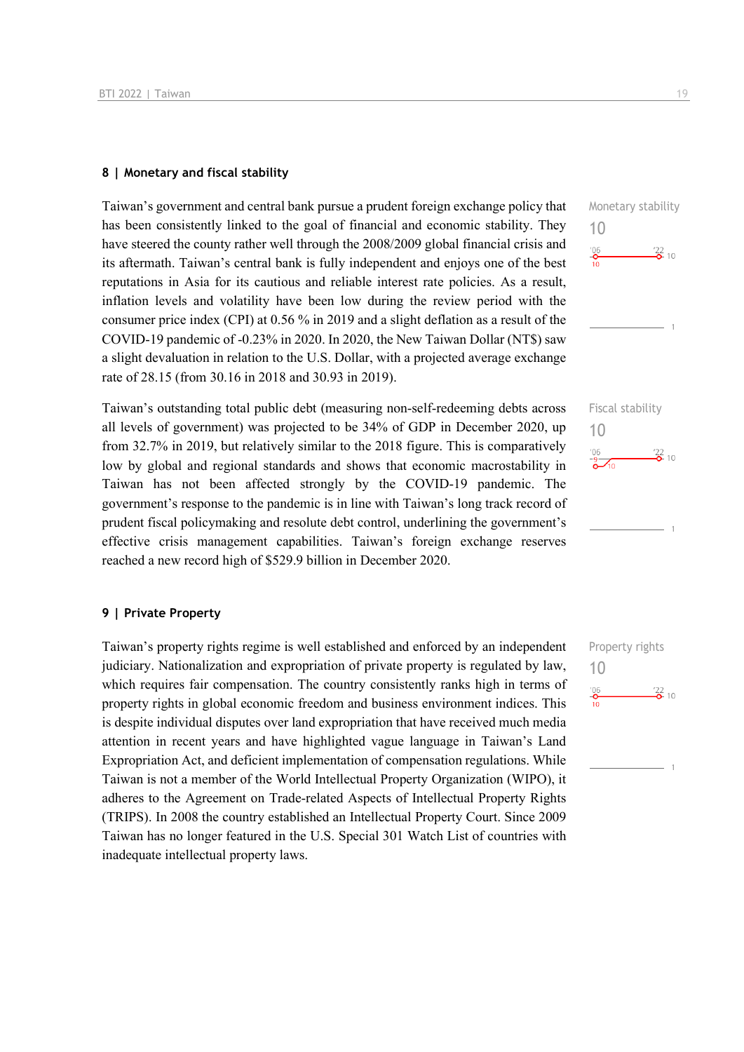#### **8 | Monetary and fiscal stability**

Taiwan's government and central bank pursue a prudent foreign exchange policy that has been consistently linked to the goal of financial and economic stability. They have steered the county rather well through the 2008/2009 global financial crisis and its aftermath. Taiwan's central bank is fully independent and enjoys one of the best reputations in Asia for its cautious and reliable interest rate policies. As a result, inflation levels and volatility have been low during the review period with the consumer price index (CPI) at 0.56 % in 2019 and a slight deflation as a result of the COVID-19 pandemic of -0.23% in 2020. In 2020, the New Taiwan Dollar (NT\$) saw a slight devaluation in relation to the U.S. Dollar, with a projected average exchange rate of 28.15 (from 30.16 in 2018 and 30.93 in 2019).

Taiwan's outstanding total public debt (measuring non-self-redeeming debts across all levels of government) was projected to be 34% of GDP in December 2020, up from 32.7% in 2019, but relatively similar to the 2018 figure. This is comparatively low by global and regional standards and shows that economic macrostability in Taiwan has not been affected strongly by the COVID-19 pandemic. The government's response to the pandemic is in line with Taiwan's long track record of prudent fiscal policymaking and resolute debt control, underlining the government's effective crisis management capabilities. Taiwan's foreign exchange reserves reached a new record high of \$529.9 billion in December 2020.

#### **9 | Private Property**

Taiwan's property rights regime is well established and enforced by an independent judiciary. Nationalization and expropriation of private property is regulated by law, which requires fair compensation. The country consistently ranks high in terms of property rights in global economic freedom and business environment indices. This is despite individual disputes over land expropriation that have received much media attention in recent years and have highlighted vague language in Taiwan's Land Expropriation Act, and deficient implementation of compensation regulations. While Taiwan is not a member of the World Intellectual Property Organization (WIPO), it adheres to the Agreement on Trade-related Aspects of Intellectual Property Rights (TRIPS). In 2008 the country established an Intellectual Property Court. Since 2009 Taiwan has no longer featured in the U.S. Special 301 Watch List of countries with inadequate intellectual property laws.





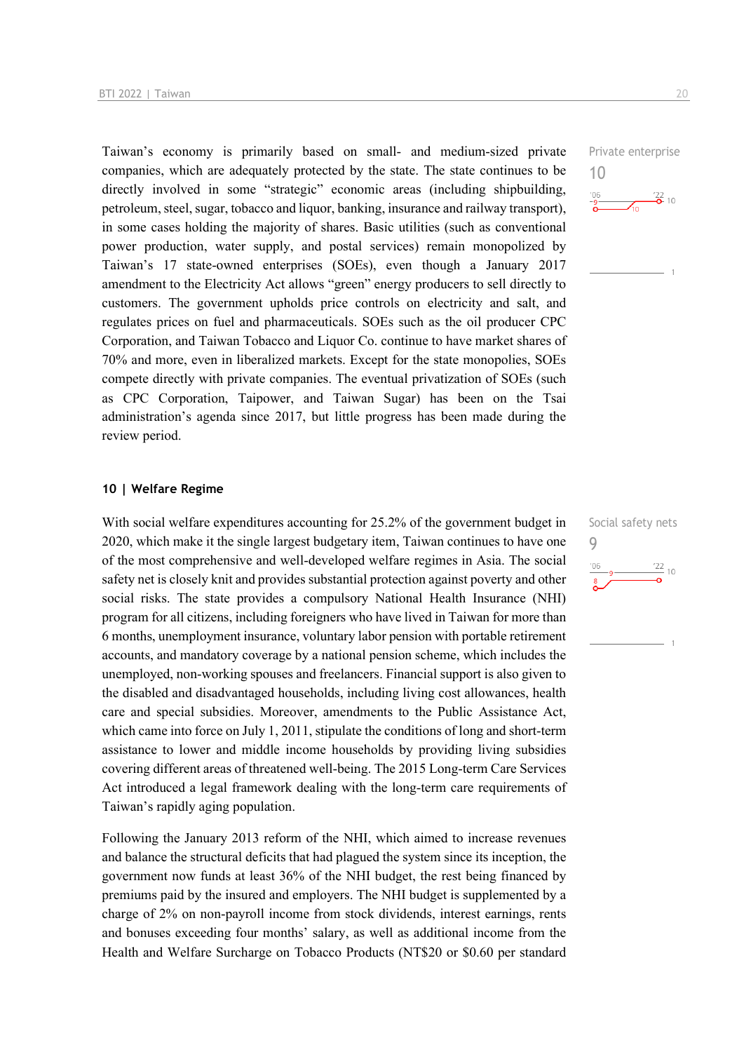Taiwan's economy is primarily based on small- and medium-sized private companies, which are adequately protected by the state. The state continues to be directly involved in some "strategic" economic areas (including shipbuilding, petroleum, steel, sugar, tobacco and liquor, banking, insurance and railway transport), in some cases holding the majority of shares. Basic utilities (such as conventional power production, water supply, and postal services) remain monopolized by Taiwan's 17 state-owned enterprises (SOEs), even though a January 2017 amendment to the Electricity Act allows "green" energy producers to sell directly to customers. The government upholds price controls on electricity and salt, and regulates prices on fuel and pharmaceuticals. SOEs such as the oil producer CPC Corporation, and Taiwan Tobacco and Liquor Co. continue to have market shares of 70% and more, even in liberalized markets. Except for the state monopolies, SOEs compete directly with private companies. The eventual privatization of SOEs (such as CPC Corporation, Taipower, and Taiwan Sugar) has been on the Tsai administration's agenda since 2017, but little progress has been made during the review period.

#### **10 | Welfare Regime**

With social welfare expenditures accounting for 25.2% of the government budget in 2020, which make it the single largest budgetary item, Taiwan continues to have one of the most comprehensive and well-developed welfare regimes in Asia. The social safety net is closely knit and provides substantial protection against poverty and other social risks. The state provides a compulsory National Health Insurance (NHI) program for all citizens, including foreigners who have lived in Taiwan for more than 6 months, unemployment insurance, voluntary labor pension with portable retirement accounts, and mandatory coverage by a national pension scheme, which includes the unemployed, non-working spouses and freelancers. Financial support is also given to the disabled and disadvantaged households, including living cost allowances, health care and special subsidies. Moreover, amendments to the Public Assistance Act, which came into force on July 1, 2011, stipulate the conditions of long and short-term assistance to lower and middle income households by providing living subsidies covering different areas of threatened well-being. The 2015 Long-term Care Services Act introduced a legal framework dealing with the long-term care requirements of Taiwan's rapidly aging population.

Following the January 2013 reform of the NHI, which aimed to increase revenues and balance the structural deficits that had plagued the system since its inception, the government now funds at least 36% of the NHI budget, the rest being financed by premiums paid by the insured and employers. The NHI budget is supplemented by a charge of 2% on non-payroll income from stock dividends, interest earnings, rents and bonuses exceeding four months' salary, as well as additional income from the Health and Welfare Surcharge on Tobacco Products (NT\$20 or \$0.60 per standard Private enterprise



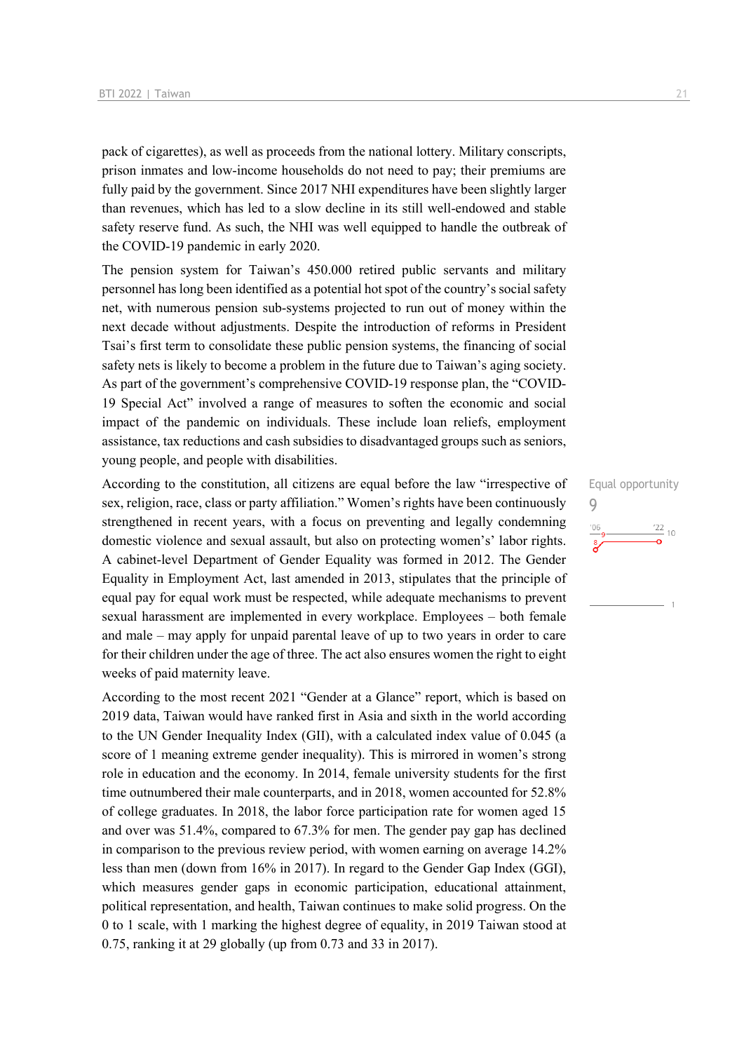pack of cigarettes), as well as proceeds from the national lottery. Military conscripts, prison inmates and low-income households do not need to pay; their premiums are fully paid by the government. Since 2017 NHI expenditures have been slightly larger than revenues, which has led to a slow decline in its still well-endowed and stable safety reserve fund. As such, the NHI was well equipped to handle the outbreak of the COVID-19 pandemic in early 2020.

The pension system for Taiwan's 450.000 retired public servants and military personnel has long been identified as a potential hot spot of the country's social safety net, with numerous pension sub-systems projected to run out of money within the next decade without adjustments. Despite the introduction of reforms in President Tsai's first term to consolidate these public pension systems, the financing of social safety nets is likely to become a problem in the future due to Taiwan's aging society. As part of the government's comprehensive COVID-19 response plan, the "COVID-19 Special Act" involved a range of measures to soften the economic and social impact of the pandemic on individuals. These include loan reliefs, employment assistance, tax reductions and cash subsidies to disadvantaged groups such as seniors, young people, and people with disabilities.

According to the constitution, all citizens are equal before the law "irrespective of sex, religion, race, class or party affiliation." Women's rights have been continuously strengthened in recent years, with a focus on preventing and legally condemning domestic violence and sexual assault, but also on protecting women's' labor rights. A cabinet-level Department of Gender Equality was formed in 2012. The Gender Equality in Employment Act, last amended in 2013, stipulates that the principle of equal pay for equal work must be respected, while adequate mechanisms to prevent sexual harassment are implemented in every workplace. Employees – both female and male – may apply for unpaid parental leave of up to two years in order to care for their children under the age of three. The act also ensures women the right to eight weeks of paid maternity leave.

According to the most recent 2021 "Gender at a Glance" report, which is based on 2019 data, Taiwan would have ranked first in Asia and sixth in the world according to the UN Gender Inequality Index (GII), with a calculated index value of 0.045 (a score of 1 meaning extreme gender inequality). This is mirrored in women's strong role in education and the economy. In 2014, female university students for the first time outnumbered their male counterparts, and in 2018, women accounted for 52.8% of college graduates. In 2018, the labor force participation rate for women aged 15 and over was 51.4%, compared to 67.3% for men. The gender pay gap has declined in comparison to the previous review period, with women earning on average 14.2% less than men (down from 16% in 2017). In regard to the Gender Gap Index (GGI), which measures gender gaps in economic participation, educational attainment, political representation, and health, Taiwan continues to make solid progress. On the 0 to 1 scale, with 1 marking the highest degree of equality, in 2019 Taiwan stood at 0.75, ranking it at 29 globally (up from 0.73 and 33 in 2017).

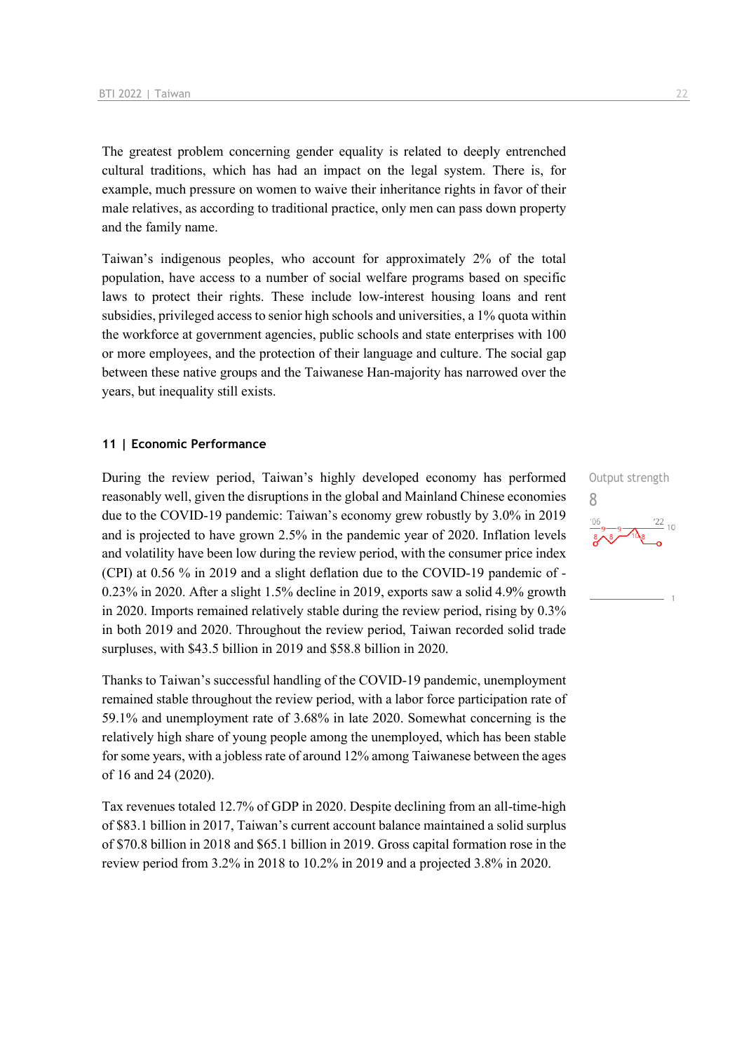The greatest problem concerning gender equality is related to deeply entrenched cultural traditions, which has had an impact on the legal system. There is, for example, much pressure on women to waive their inheritance rights in favor of their male relatives, as according to traditional practice, only men can pass down property and the family name.

Taiwan's indigenous peoples, who account for approximately 2% of the total population, have access to a number of social welfare programs based on specific laws to protect their rights. These include low-interest housing loans and rent subsidies, privileged access to senior high schools and universities, a 1% quota within the workforce at government agencies, public schools and state enterprises with 100 or more employees, and the protection of their language and culture. The social gap between these native groups and the Taiwanese Han-majority has narrowed over the years, but inequality still exists.

#### **11 | Economic Performance**

During the review period, Taiwan's highly developed economy has performed reasonably well, given the disruptions in the global and Mainland Chinese economies due to the COVID-19 pandemic: Taiwan's economy grew robustly by 3.0% in 2019 and is projected to have grown 2.5% in the pandemic year of 2020. Inflation levels and volatility have been low during the review period, with the consumer price index (CPI) at 0.56 % in 2019 and a slight deflation due to the COVID-19 pandemic of - 0.23% in 2020. After a slight 1.5% decline in 2019, exports saw a solid 4.9% growth in 2020. Imports remained relatively stable during the review period, rising by 0.3% in both 2019 and 2020. Throughout the review period, Taiwan recorded solid trade surpluses, with \$43.5 billion in 2019 and \$58.8 billion in 2020.

Thanks to Taiwan's successful handling of the COVID-19 pandemic, unemployment remained stable throughout the review period, with a labor force participation rate of 59.1% and unemployment rate of 3.68% in late 2020. Somewhat concerning is the relatively high share of young people among the unemployed, which has been stable for some years, with a jobless rate of around 12% among Taiwanese between the ages of 16 and 24 (2020).

Tax revenues totaled 12.7% of GDP in 2020. Despite declining from an all-time-high of \$83.1 billion in 2017, Taiwan's current account balance maintained a solid surplus of \$70.8 billion in 2018 and \$65.1 billion in 2019. Gross capital formation rose in the review period from 3.2% in 2018 to 10.2% in 2019 and a projected 3.8% in 2020.

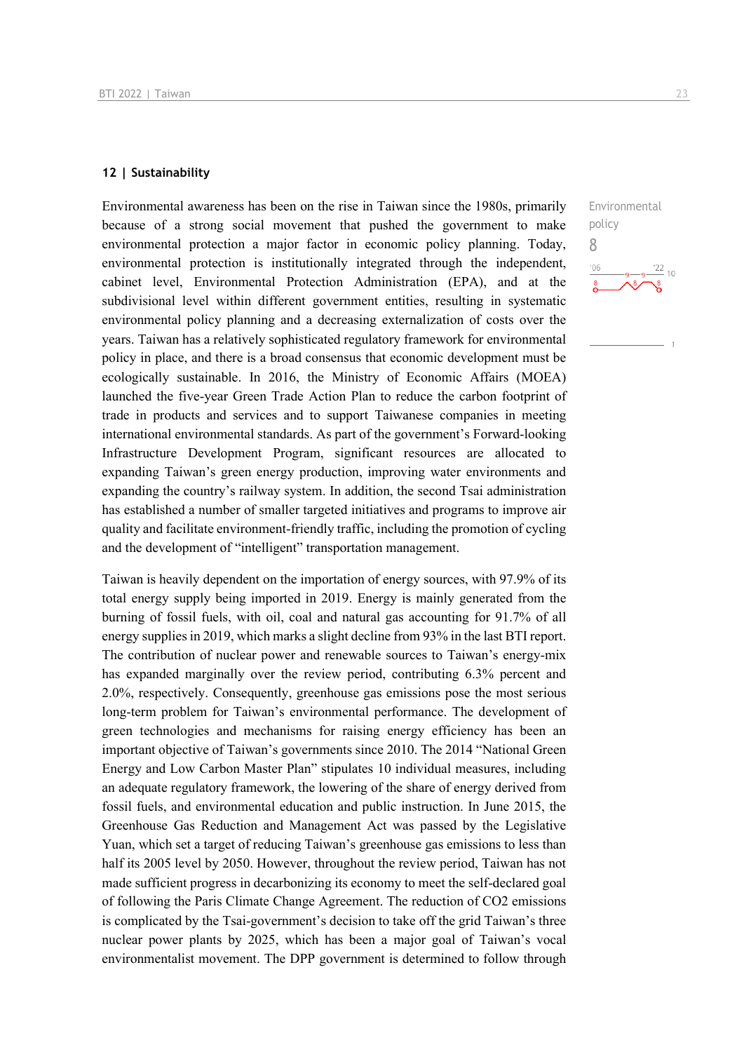#### **12 | Sustainability**

Environmental awareness has been on the rise in Taiwan since the 1980s, primarily because of a strong social movement that pushed the government to make environmental protection a major factor in economic policy planning. Today, environmental protection is institutionally integrated through the independent, cabinet level, Environmental Protection Administration (EPA), and at the subdivisional level within different government entities, resulting in systematic environmental policy planning and a decreasing externalization of costs over the years. Taiwan has a relatively sophisticated regulatory framework for environmental policy in place, and there is a broad consensus that economic development must be ecologically sustainable. In 2016, the Ministry of Economic Affairs (MOEA) launched the five-year Green Trade Action Plan to reduce the carbon footprint of trade in products and services and to support Taiwanese companies in meeting international environmental standards. As part of the government's Forward-looking Infrastructure Development Program, significant resources are allocated to expanding Taiwan's green energy production, improving water environments and expanding the country's railway system. In addition, the second Tsai administration has established a number of smaller targeted initiatives and programs to improve air quality and facilitate environment-friendly traffic, including the promotion of cycling and the development of "intelligent" transportation management.

Taiwan is heavily dependent on the importation of energy sources, with 97.9% of its total energy supply being imported in 2019. Energy is mainly generated from the burning of fossil fuels, with oil, coal and natural gas accounting for 91.7% of all energy supplies in 2019, which marks a slight decline from 93% in the last BTI report. The contribution of nuclear power and renewable sources to Taiwan's energy-mix has expanded marginally over the review period, contributing 6.3% percent and 2.0%, respectively. Consequently, greenhouse gas emissions pose the most serious long-term problem for Taiwan's environmental performance. The development of green technologies and mechanisms for raising energy efficiency has been an important objective of Taiwan's governments since 2010. The 2014 "National Green Energy and Low Carbon Master Plan" stipulates 10 individual measures, including an adequate regulatory framework, the lowering of the share of energy derived from fossil fuels, and environmental education and public instruction. In June 2015, the Greenhouse Gas Reduction and Management Act was passed by the Legislative Yuan, which set a target of reducing Taiwan's greenhouse gas emissions to less than half its 2005 level by 2050. However, throughout the review period, Taiwan has not made sufficient progress in decarbonizing its economy to meet the self-declared goal of following the Paris Climate Change Agreement. The reduction of CO2 emissions is complicated by the Tsai-government's decision to take off the grid Taiwan's three nuclear power plants by 2025, which has been a major goal of Taiwan's vocal environmentalist movement. The DPP government is determined to follow through

Environmental policy 8 $\frac{22}{10}$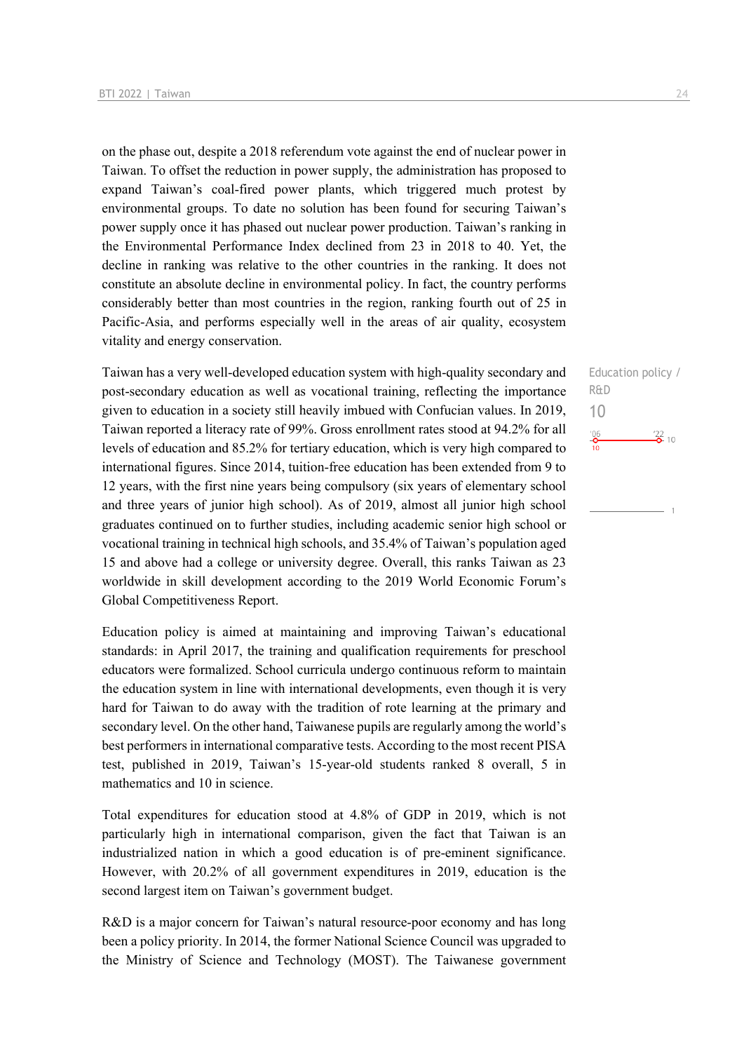on the phase out, despite a 2018 referendum vote against the end of nuclear power in Taiwan. To offset the reduction in power supply, the administration has proposed to expand Taiwan's coal-fired power plants, which triggered much protest by environmental groups. To date no solution has been found for securing Taiwan's power supply once it has phased out nuclear power production. Taiwan's ranking in the Environmental Performance Index declined from 23 in 2018 to 40. Yet, the decline in ranking was relative to the other countries in the ranking. It does not constitute an absolute decline in environmental policy. In fact, the country performs considerably better than most countries in the region, ranking fourth out of 25 in Pacific-Asia, and performs especially well in the areas of air quality, ecosystem vitality and energy conservation.

Taiwan has a very well-developed education system with high-quality secondary and post-secondary education as well as vocational training, reflecting the importance given to education in a society still heavily imbued with Confucian values. In 2019, Taiwan reported a literacy rate of 99%. Gross enrollment rates stood at 94.2% for all levels of education and 85.2% for tertiary education, which is very high compared to international figures. Since 2014, tuition-free education has been extended from 9 to 12 years, with the first nine years being compulsory (six years of elementary school and three years of junior high school). As of 2019, almost all junior high school graduates continued on to further studies, including academic senior high school or vocational training in technical high schools, and 35.4% of Taiwan's population aged 15 and above had a college or university degree. Overall, this ranks Taiwan as 23 worldwide in skill development according to the 2019 World Economic Forum's Global Competitiveness Report.

Education policy is aimed at maintaining and improving Taiwan's educational standards: in April 2017, the training and qualification requirements for preschool educators were formalized. School curricula undergo continuous reform to maintain the education system in line with international developments, even though it is very hard for Taiwan to do away with the tradition of rote learning at the primary and secondary level. On the other hand, Taiwanese pupils are regularly among the world's best performers in international comparative tests. According to the most recent PISA test, published in 2019, Taiwan's 15-year-old students ranked 8 overall, 5 in mathematics and 10 in science.

Total expenditures for education stood at 4.8% of GDP in 2019, which is not particularly high in international comparison, given the fact that Taiwan is an industrialized nation in which a good education is of pre-eminent significance. However, with 20.2% of all government expenditures in 2019, education is the second largest item on Taiwan's government budget.

R&D is a major concern for Taiwan's natural resource-poor economy and has long been a policy priority. In 2014, the former National Science Council was upgraded to the Ministry of Science and Technology (MOST). The Taiwanese government Education policy / R&D 10 $^{106}_{-0}$  $\frac{22}{2}$  10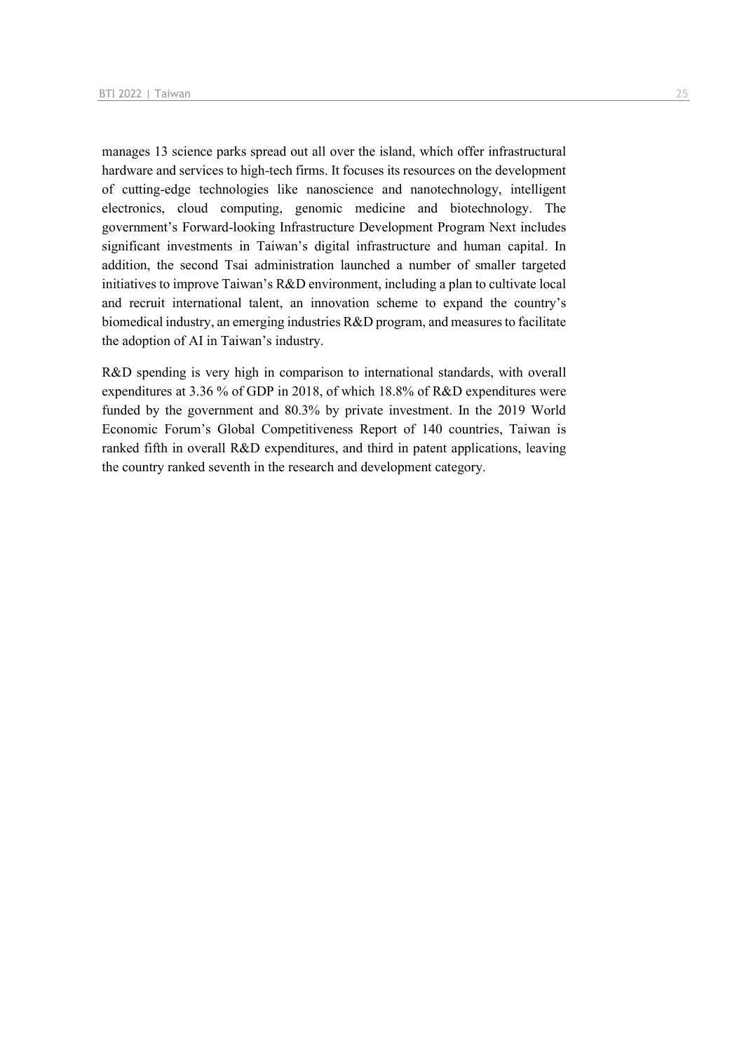manages 13 science parks spread out all over the island, which offer infrastructural hardware and services to high-tech firms. It focuses its resources on the development of cutting-edge technologies like nanoscience and nanotechnology, intelligent electronics, cloud computing, genomic medicine and biotechnology. The government's Forward-looking Infrastructure Development Program Next includes significant investments in Taiwan's digital infrastructure and human capital. In addition, the second Tsai administration launched a number of smaller targeted initiatives to improve Taiwan's R&D environment, including a plan to cultivate local and recruit international talent, an innovation scheme to expand the country's biomedical industry, an emerging industries R&D program, and measures to facilitate the adoption of AI in Taiwan's industry.

R&D spending is very high in comparison to international standards, with overall expenditures at 3.36 % of GDP in 2018, of which 18.8% of R&D expenditures were funded by the government and 80.3% by private investment. In the 2019 World Economic Forum's Global Competitiveness Report of 140 countries, Taiwan is ranked fifth in overall R&D expenditures, and third in patent applications, leaving the country ranked seventh in the research and development category.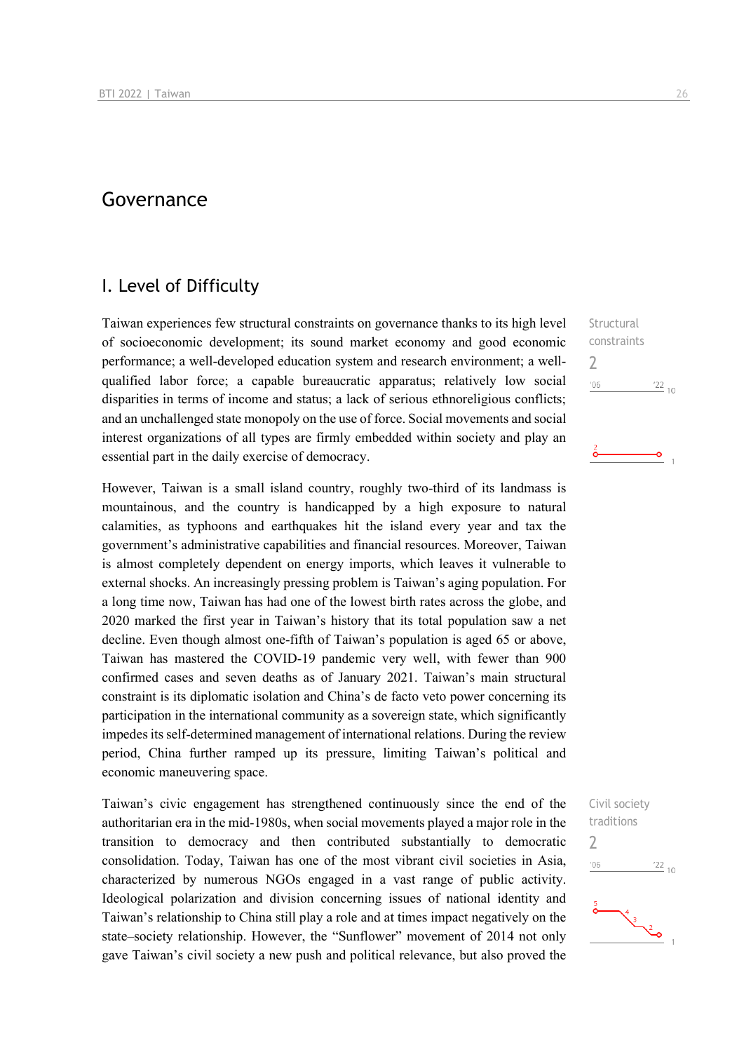## Governance

## I. Level of Difficulty

Taiwan experiences few structural constraints on governance thanks to its high level of socioeconomic development; its sound market economy and good economic performance; a well-developed education system and research environment; a wellqualified labor force; a capable bureaucratic apparatus; relatively low social disparities in terms of income and status; a lack of serious ethnoreligious conflicts; and an unchallenged state monopoly on the use of force. Social movements and social interest organizations of all types are firmly embedded within society and play an essential part in the daily exercise of democracy.

However, Taiwan is a small island country, roughly two-third of its landmass is mountainous, and the country is handicapped by a high exposure to natural calamities, as typhoons and earthquakes hit the island every year and tax the government's administrative capabilities and financial resources. Moreover, Taiwan is almost completely dependent on energy imports, which leaves it vulnerable to external shocks. An increasingly pressing problem is Taiwan's aging population. For a long time now, Taiwan has had one of the lowest birth rates across the globe, and 2020 marked the first year in Taiwan's history that its total population saw a net decline. Even though almost one-fifth of Taiwan's population is aged 65 or above, Taiwan has mastered the COVID-19 pandemic very well, with fewer than 900 confirmed cases and seven deaths as of January 2021. Taiwan's main structural constraint is its diplomatic isolation and China's de facto veto power concerning its participation in the international community as a sovereign state, which significantly impedes its self-determined management of international relations. During the review period, China further ramped up its pressure, limiting Taiwan's political and economic maneuvering space.

Taiwan's civic engagement has strengthened continuously since the end of the authoritarian era in the mid-1980s, when social movements played a major role in the transition to democracy and then contributed substantially to democratic consolidation. Today, Taiwan has one of the most vibrant civil societies in Asia, characterized by numerous NGOs engaged in a vast range of public activity. Ideological polarization and division concerning issues of national identity and Taiwan's relationship to China still play a role and at times impact negatively on the state–society relationship. However, the "Sunflower" movement of 2014 not only gave Taiwan's civil society a new push and political relevance, but also proved the

**Structural** constraints 2  $106$  $\frac{22}{10}$ 

-o



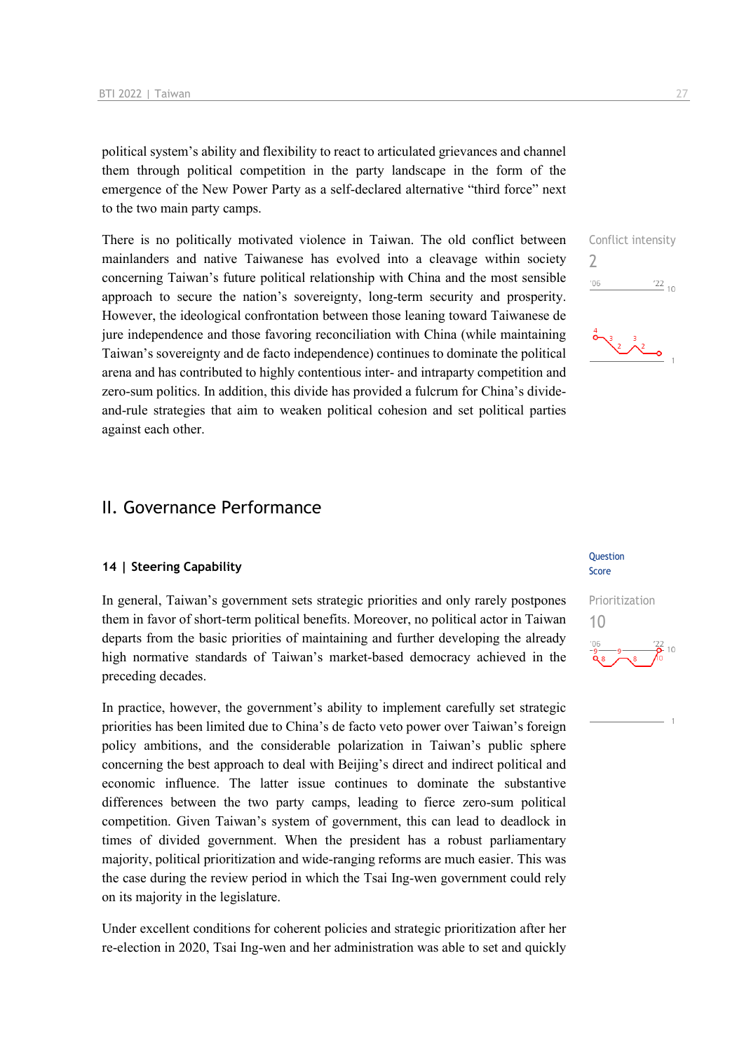political system's ability and flexibility to react to articulated grievances and channel them through political competition in the party landscape in the form of the emergence of the New Power Party as a self-declared alternative "third force" next to the two main party camps.

There is no politically motivated violence in Taiwan. The old conflict between mainlanders and native Taiwanese has evolved into a cleavage within society concerning Taiwan's future political relationship with China and the most sensible approach to secure the nation's sovereignty, long-term security and prosperity. However, the ideological confrontation between those leaning toward Taiwanese de jure independence and those favoring reconciliation with China (while maintaining Taiwan's sovereignty and de facto independence) continues to dominate the political arena and has contributed to highly contentious inter- and intraparty competition and zero-sum politics. In addition, this divide has provided a fulcrum for China's divideand-rule strategies that aim to weaken political cohesion and set political parties against each other.

## II. Governance Performance

#### **14 | Steering Capability**

In general, Taiwan's government sets strategic priorities and only rarely postpones them in favor of short-term political benefits. Moreover, no political actor in Taiwan departs from the basic priorities of maintaining and further developing the already high normative standards of Taiwan's market-based democracy achieved in the preceding decades.

In practice, however, the government's ability to implement carefully set strategic priorities has been limited due to China's de facto veto power over Taiwan's foreign policy ambitions, and the considerable polarization in Taiwan's public sphere concerning the best approach to deal with Beijing's direct and indirect political and economic influence. The latter issue continues to dominate the substantive differences between the two party camps, leading to fierce zero-sum political competition. Given Taiwan's system of government, this can lead to deadlock in times of divided government. When the president has a robust parliamentary majority, political prioritization and wide-ranging reforms are much easier. This was the case during the review period in which the Tsai Ing-wen government could rely on its majority in the legislature.

Under excellent conditions for coherent policies and strategic prioritization after her re-election in 2020, Tsai Ing-wen and her administration was able to set and quickly

## Score Prioritization

**Ouestion** 







 $\frac{3}{2}$   $\frac{3}{2}$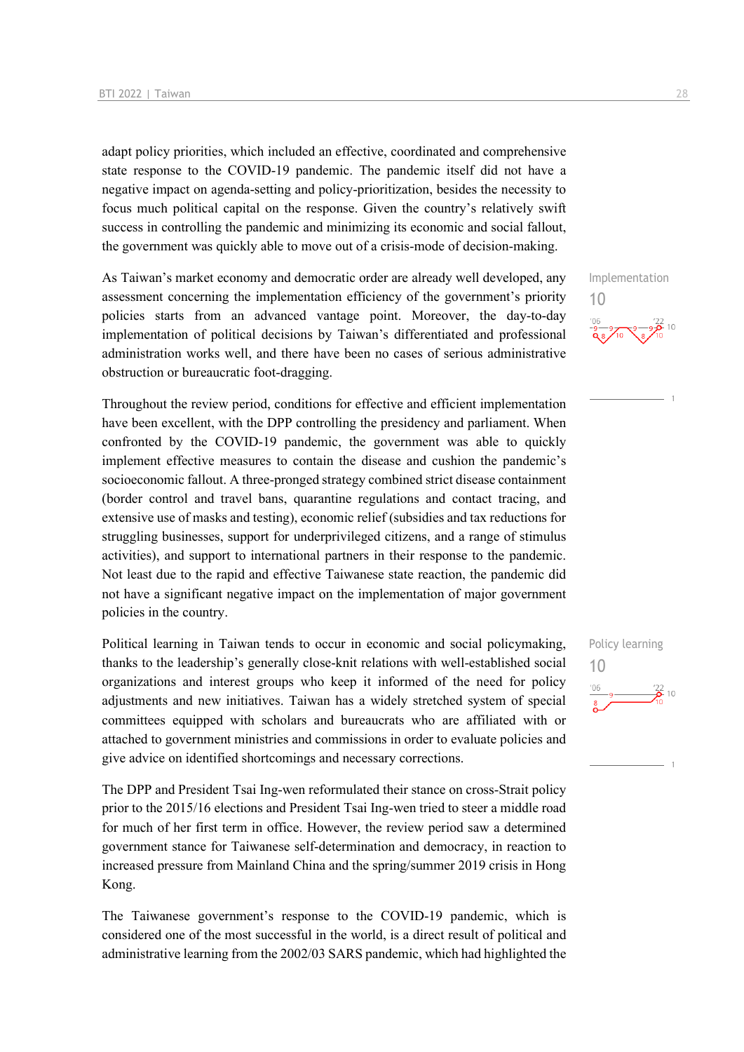adapt policy priorities, which included an effective, coordinated and comprehensive state response to the COVID-19 pandemic. The pandemic itself did not have a negative impact on agenda-setting and policy-prioritization, besides the necessity to focus much political capital on the response. Given the country's relatively swift success in controlling the pandemic and minimizing its economic and social fallout, the government was quickly able to move out of a crisis-mode of decision-making.

As Taiwan's market economy and democratic order are already well developed, any assessment concerning the implementation efficiency of the government's priority policies starts from an advanced vantage point. Moreover, the day-to-day implementation of political decisions by Taiwan's differentiated and professional administration works well, and there have been no cases of serious administrative obstruction or bureaucratic foot-dragging.

Throughout the review period, conditions for effective and efficient implementation have been excellent, with the DPP controlling the presidency and parliament. When confronted by the COVID-19 pandemic, the government was able to quickly implement effective measures to contain the disease and cushion the pandemic's socioeconomic fallout. A three-pronged strategy combined strict disease containment (border control and travel bans, quarantine regulations and contact tracing, and extensive use of masks and testing), economic relief (subsidies and tax reductions for struggling businesses, support for underprivileged citizens, and a range of stimulus activities), and support to international partners in their response to the pandemic. Not least due to the rapid and effective Taiwanese state reaction, the pandemic did not have a significant negative impact on the implementation of major government policies in the country.

Political learning in Taiwan tends to occur in economic and social policymaking, thanks to the leadership's generally close-knit relations with well-established social organizations and interest groups who keep it informed of the need for policy adjustments and new initiatives. Taiwan has a widely stretched system of special committees equipped with scholars and bureaucrats who are affiliated with or attached to government ministries and commissions in order to evaluate policies and give advice on identified shortcomings and necessary corrections.

The DPP and President Tsai Ing-wen reformulated their stance on cross-Strait policy prior to the 2015/16 elections and President Tsai Ing-wen tried to steer a middle road for much of her first term in office. However, the review period saw a determined government stance for Taiwanese self-determination and democracy, in reaction to increased pressure from Mainland China and the spring/summer 2019 crisis in Hong Kong.

The Taiwanese government's response to the COVID-19 pandemic, which is considered one of the most successful in the world, is a direct result of political and administrative learning from the 2002/03 SARS pandemic, which had highlighted the Implementation



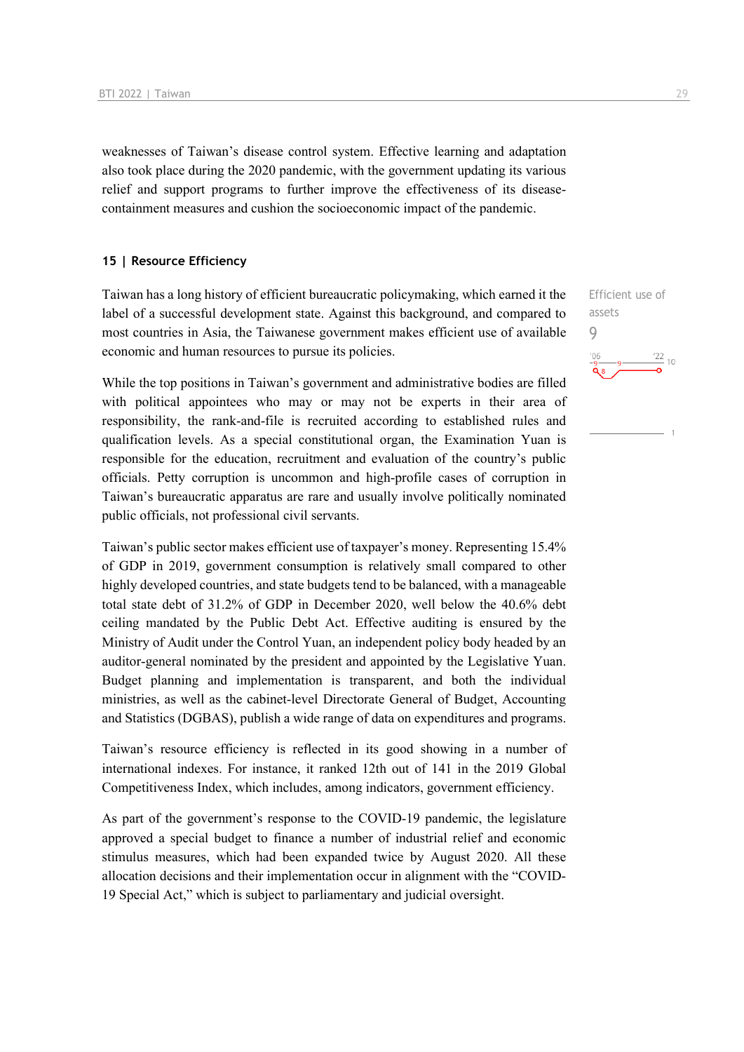weaknesses of Taiwan's disease control system. Effective learning and adaptation also took place during the 2020 pandemic, with the government updating its various relief and support programs to further improve the effectiveness of its diseasecontainment measures and cushion the socioeconomic impact of the pandemic.

#### **15 | Resource Efficiency**

Taiwan has a long history of efficient bureaucratic policymaking, which earned it the label of a successful development state. Against this background, and compared to most countries in Asia, the Taiwanese government makes efficient use of available economic and human resources to pursue its policies.

While the top positions in Taiwan's government and administrative bodies are filled with political appointees who may or may not be experts in their area of responsibility, the rank-and-file is recruited according to established rules and qualification levels. As a special constitutional organ, the Examination Yuan is responsible for the education, recruitment and evaluation of the country's public officials. Petty corruption is uncommon and high-profile cases of corruption in Taiwan's bureaucratic apparatus are rare and usually involve politically nominated public officials, not professional civil servants.

Taiwan's public sector makes efficient use of taxpayer's money. Representing 15.4% of GDP in 2019, government consumption is relatively small compared to other highly developed countries, and state budgets tend to be balanced, with a manageable total state debt of 31.2% of GDP in December 2020, well below the 40.6% debt ceiling mandated by the Public Debt Act. Effective auditing is ensured by the Ministry of Audit under the Control Yuan, an independent policy body headed by an auditor-general nominated by the president and appointed by the Legislative Yuan. Budget planning and implementation is transparent, and both the individual ministries, as well as the cabinet-level Directorate General of Budget, Accounting and Statistics (DGBAS), publish a wide range of data on expenditures and programs.

Taiwan's resource efficiency is reflected in its good showing in a number of international indexes. For instance, it ranked 12th out of 141 in the 2019 Global Competitiveness Index, which includes, among indicators, government efficiency.

As part of the government's response to the COVID-19 pandemic, the legislature approved a special budget to finance a number of industrial relief and economic stimulus measures, which had been expanded twice by August 2020. All these allocation decisions and their implementation occur in alignment with the "COVID-19 Special Act," which is subject to parliamentary and judicial oversight.

Efficient use of assets 9 $\frac{22}{10}$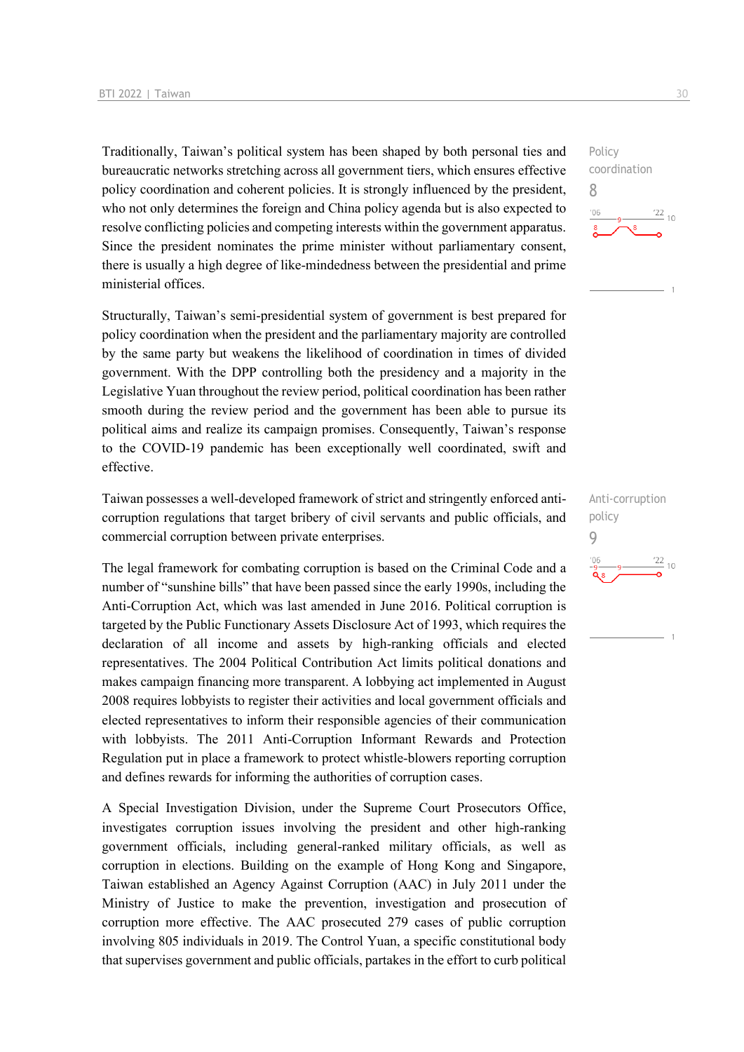Traditionally, Taiwan's political system has been shaped by both personal ties and bureaucratic networks stretching across all government tiers, which ensures effective policy coordination and coherent policies. It is strongly influenced by the president, who not only determines the foreign and China policy agenda but is also expected to resolve conflicting policies and competing interests within the government apparatus. Since the president nominates the prime minister without parliamentary consent, there is usually a high degree of like-mindedness between the presidential and prime ministerial offices.

Structurally, Taiwan's semi-presidential system of government is best prepared for policy coordination when the president and the parliamentary majority are controlled by the same party but weakens the likelihood of coordination in times of divided government. With the DPP controlling both the presidency and a majority in the Legislative Yuan throughout the review period, political coordination has been rather smooth during the review period and the government has been able to pursue its political aims and realize its campaign promises. Consequently, Taiwan's response to the COVID-19 pandemic has been exceptionally well coordinated, swift and effective.

Taiwan possesses a well-developed framework of strict and stringently enforced anticorruption regulations that target bribery of civil servants and public officials, and commercial corruption between private enterprises.

The legal framework for combating corruption is based on the Criminal Code and a number of "sunshine bills" that have been passed since the early 1990s, including the Anti-Corruption Act, which was last amended in June 2016. Political corruption is targeted by the Public Functionary Assets Disclosure Act of 1993, which requires the declaration of all income and assets by high-ranking officials and elected representatives. The 2004 Political Contribution Act limits political donations and makes campaign financing more transparent. A lobbying act implemented in August 2008 requires lobbyists to register their activities and local government officials and elected representatives to inform their responsible agencies of their communication with lobbyists. The 2011 Anti-Corruption Informant Rewards and Protection Regulation put in place a framework to protect whistle-blowers reporting corruption and defines rewards for informing the authorities of corruption cases.

A Special Investigation Division, under the Supreme Court Prosecutors Office, investigates corruption issues involving the president and other high-ranking government officials, including general-ranked military officials, as well as corruption in elections. Building on the example of Hong Kong and Singapore, Taiwan established an Agency Against Corruption (AAC) in July 2011 under the Ministry of Justice to make the prevention, investigation and prosecution of corruption more effective. The AAC prosecuted 279 cases of public corruption involving 805 individuals in 2019. The Control Yuan, a specific constitutional body that supervises government and public officials, partakes in the effort to curb political

Policy coordination 8  $\frac{22}{10}$ 

Anti-corruption policy 9 $\frac{22}{10}$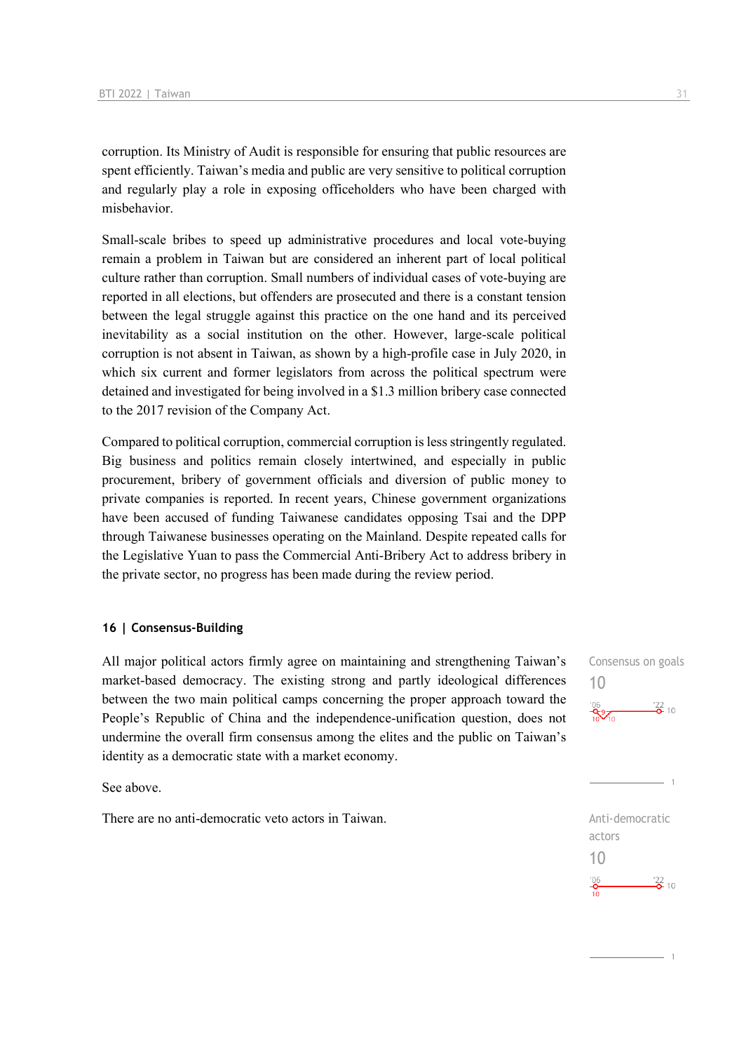corruption. Its Ministry of Audit is responsible for ensuring that public resources are spent efficiently. Taiwan's media and public are very sensitive to political corruption and regularly play a role in exposing officeholders who have been charged with misbehavior.

Small-scale bribes to speed up administrative procedures and local vote-buying remain a problem in Taiwan but are considered an inherent part of local political culture rather than corruption. Small numbers of individual cases of vote-buying are reported in all elections, but offenders are prosecuted and there is a constant tension between the legal struggle against this practice on the one hand and its perceived inevitability as a social institution on the other. However, large-scale political corruption is not absent in Taiwan, as shown by a high-profile case in July 2020, in which six current and former legislators from across the political spectrum were detained and investigated for being involved in a \$1.3 million bribery case connected to the 2017 revision of the Company Act.

Compared to political corruption, commercial corruption is less stringently regulated. Big business and politics remain closely intertwined, and especially in public procurement, bribery of government officials and diversion of public money to private companies is reported. In recent years, Chinese government organizations have been accused of funding Taiwanese candidates opposing Tsai and the DPP through Taiwanese businesses operating on the Mainland. Despite repeated calls for the Legislative Yuan to pass the Commercial Anti-Bribery Act to address bribery in the private sector, no progress has been made during the review period.

#### **16 | Consensus-Building**

All major political actors firmly agree on maintaining and strengthening Taiwan's market-based democracy. The existing strong and partly ideological differences between the two main political camps concerning the proper approach toward the People's Republic of China and the independence-unification question, does not undermine the overall firm consensus among the elites and the public on Taiwan's identity as a democratic state with a market economy.

See above.

There are no anti-democratic veto actors in Taiwan. There are no anti-democratic



actors 10 $\frac{106}{2}$  $\frac{22}{2}$  10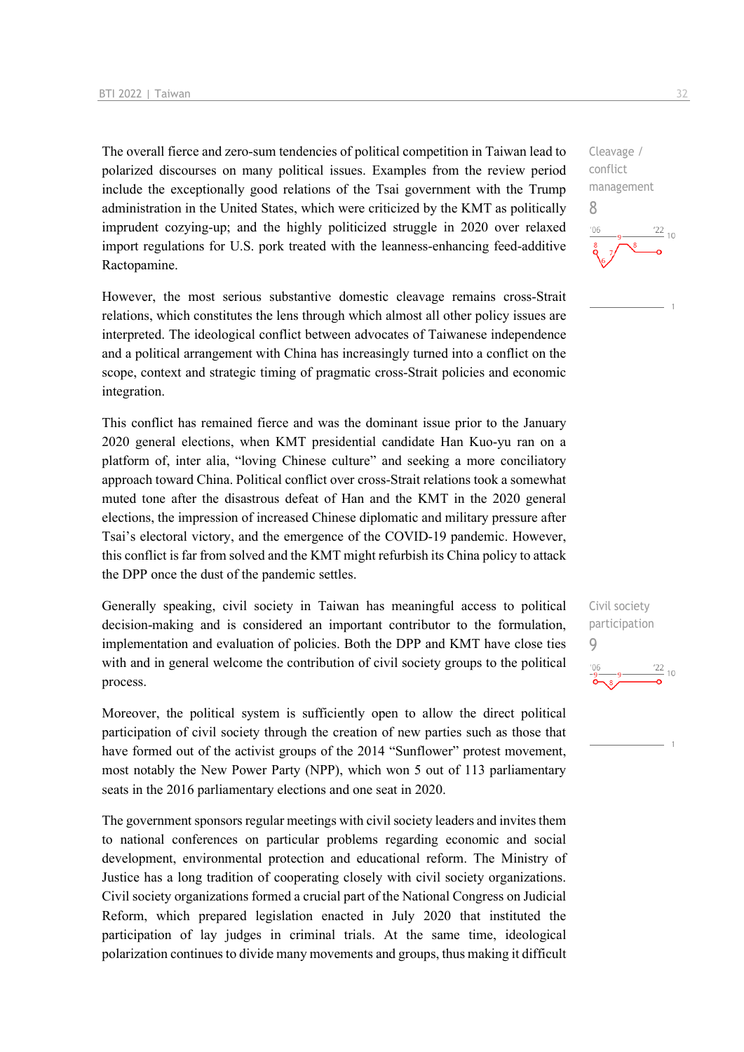The overall fierce and zero-sum tendencies of political competition in Taiwan lead to polarized discourses on many political issues. Examples from the review period include the exceptionally good relations of the Tsai government with the Trump administration in the United States, which were criticized by the KMT as politically imprudent cozying-up; and the highly politicized struggle in 2020 over relaxed import regulations for U.S. pork treated with the leanness-enhancing feed-additive Ractopamine.

However, the most serious substantive domestic cleavage remains cross-Strait relations, which constitutes the lens through which almost all other policy issues are interpreted. The ideological conflict between advocates of Taiwanese independence and a political arrangement with China has increasingly turned into a conflict on the scope, context and strategic timing of pragmatic cross-Strait policies and economic integration.

This conflict has remained fierce and was the dominant issue prior to the January 2020 general elections, when KMT presidential candidate Han Kuo-yu ran on a platform of, inter alia, "loving Chinese culture" and seeking a more conciliatory approach toward China. Political conflict over cross-Strait relations took a somewhat muted tone after the disastrous defeat of Han and the KMT in the 2020 general elections, the impression of increased Chinese diplomatic and military pressure after Tsai's electoral victory, and the emergence of the COVID-19 pandemic. However, this conflict is far from solved and the KMT might refurbish its China policy to attack the DPP once the dust of the pandemic settles.

Generally speaking, civil society in Taiwan has meaningful access to political decision-making and is considered an important contributor to the formulation, implementation and evaluation of policies. Both the DPP and KMT have close ties with and in general welcome the contribution of civil society groups to the political process.

Moreover, the political system is sufficiently open to allow the direct political participation of civil society through the creation of new parties such as those that have formed out of the activist groups of the 2014 "Sunflower" protest movement, most notably the New Power Party (NPP), which won 5 out of 113 parliamentary seats in the 2016 parliamentary elections and one seat in 2020.

The government sponsors regular meetings with civil society leaders and invites them to national conferences on particular problems regarding economic and social development, environmental protection and educational reform. The Ministry of Justice has a long tradition of cooperating closely with civil society organizations. Civil society organizations formed a crucial part of the National Congress on Judicial Reform, which prepared legislation enacted in July 2020 that instituted the participation of lay judges in criminal trials. At the same time, ideological polarization continues to divide many movements and groups, thus making it difficult

Cleavage / conflict management 8  $106$  $\frac{22}{10}$ 

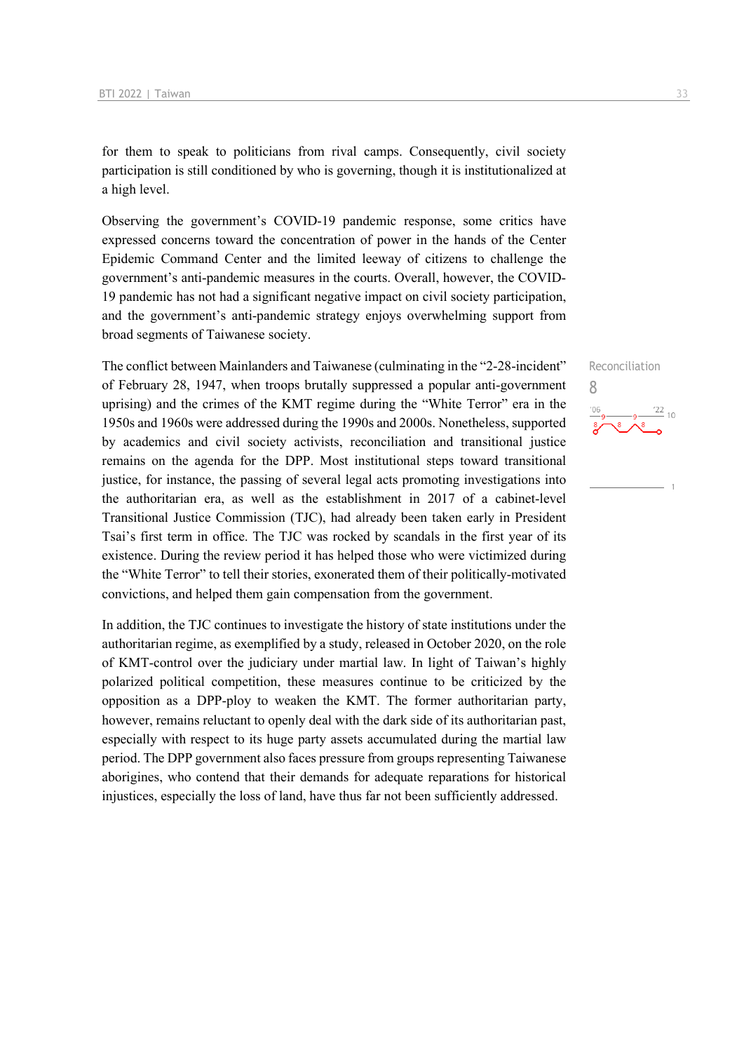for them to speak to politicians from rival camps. Consequently, civil society participation is still conditioned by who is governing, though it is institutionalized at a high level.

Observing the government's COVID-19 pandemic response, some critics have expressed concerns toward the concentration of power in the hands of the Center Epidemic Command Center and the limited leeway of citizens to challenge the government's anti-pandemic measures in the courts. Overall, however, the COVID-19 pandemic has not had a significant negative impact on civil society participation, and the government's anti-pandemic strategy enjoys overwhelming support from broad segments of Taiwanese society.

The conflict between Mainlanders and Taiwanese (culminating in the "2-28-incident" of February 28, 1947, when troops brutally suppressed a popular anti-government uprising) and the crimes of the KMT regime during the "White Terror" era in the 1950s and 1960s were addressed during the 1990s and 2000s. Nonetheless, supported by academics and civil society activists, reconciliation and transitional justice remains on the agenda for the DPP. Most institutional steps toward transitional justice, for instance, the passing of several legal acts promoting investigations into the authoritarian era, as well as the establishment in 2017 of a cabinet-level Transitional Justice Commission (TJC), had already been taken early in President Tsai's first term in office. The TJC was rocked by scandals in the first year of its existence. During the review period it has helped those who were victimized during the "White Terror" to tell their stories, exonerated them of their politically-motivated convictions, and helped them gain compensation from the government.

In addition, the TJC continues to investigate the history of state institutions under the authoritarian regime, as exemplified by a study, released in October 2020, on the role of KMT-control over the judiciary under martial law. In light of Taiwan's highly polarized political competition, these measures continue to be criticized by the opposition as a DPP-ploy to weaken the KMT. The former authoritarian party, however, remains reluctant to openly deal with the dark side of its authoritarian past, especially with respect to its huge party assets accumulated during the martial law period. The DPP government also faces pressure from groups representing Taiwanese aborigines, who contend that their demands for adequate reparations for historical injustices, especially the loss of land, have thus far not been sufficiently addressed.

Reconciliation 8 $\frac{22}{10}$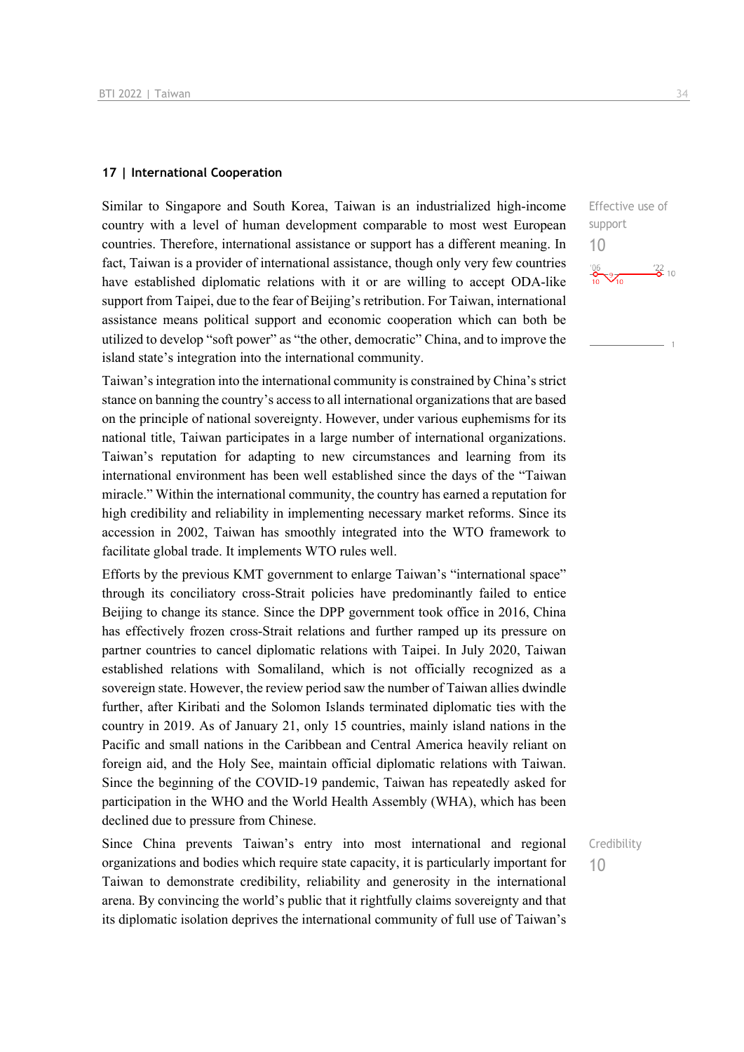#### **17 | International Cooperation**

Similar to Singapore and South Korea, Taiwan is an industrialized high-income country with a level of human development comparable to most west European countries. Therefore, international assistance or support has a different meaning. In fact, Taiwan is a provider of international assistance, though only very few countries have established diplomatic relations with it or are willing to accept ODA-like support from Taipei, due to the fear of Beijing's retribution. For Taiwan, international assistance means political support and economic cooperation which can both be utilized to develop "soft power" as "the other, democratic" China, and to improve the island state's integration into the international community.

Taiwan's integration into the international community is constrained by China's strict stance on banning the country's access to all international organizations that are based on the principle of national sovereignty. However, under various euphemisms for its national title, Taiwan participates in a large number of international organizations. Taiwan's reputation for adapting to new circumstances and learning from its international environment has been well established since the days of the "Taiwan miracle." Within the international community, the country has earned a reputation for high credibility and reliability in implementing necessary market reforms. Since its accession in 2002, Taiwan has smoothly integrated into the WTO framework to facilitate global trade. It implements WTO rules well.

Efforts by the previous KMT government to enlarge Taiwan's "international space" through its conciliatory cross-Strait policies have predominantly failed to entice Beijing to change its stance. Since the DPP government took office in 2016, China has effectively frozen cross-Strait relations and further ramped up its pressure on partner countries to cancel diplomatic relations with Taipei. In July 2020, Taiwan established relations with Somaliland, which is not officially recognized as a sovereign state. However, the review period saw the number of Taiwan allies dwindle further, after Kiribati and the Solomon Islands terminated diplomatic ties with the country in 2019. As of January 21, only 15 countries, mainly island nations in the Pacific and small nations in the Caribbean and Central America heavily reliant on foreign aid, and the Holy See, maintain official diplomatic relations with Taiwan. Since the beginning of the COVID-19 pandemic, Taiwan has repeatedly asked for participation in the WHO and the World Health Assembly (WHA), which has been declined due to pressure from Chinese.

Since China prevents Taiwan's entry into most international and regional organizations and bodies which require state capacity, it is particularly important for Taiwan to demonstrate credibility, reliability and generosity in the international arena. By convincing the world's public that it rightfully claims sovereignty and that its diplomatic isolation deprives the international community of full use of Taiwan's

Effective use of support 10  $\frac{22}{2}$  10  $\sqrt{2}$ 

Credibility

10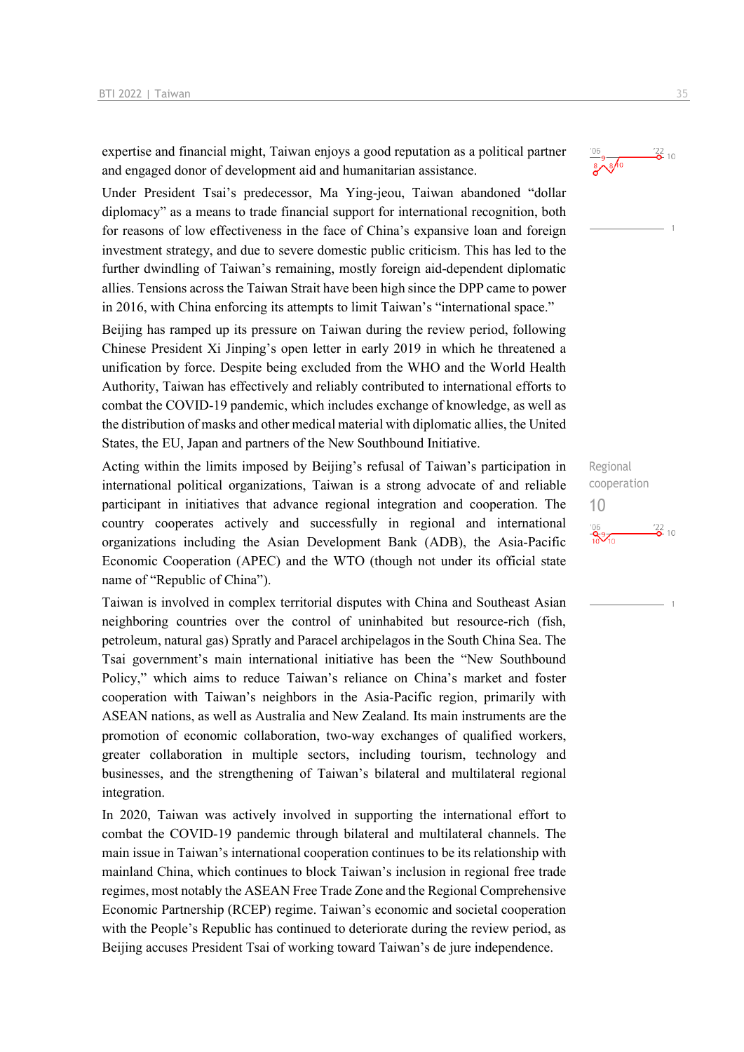expertise and financial might, Taiwan enjoys a good reputation as a political partner and engaged donor of development aid and humanitarian assistance.

Under President Tsai's predecessor, Ma Ying-jeou, Taiwan abandoned "dollar diplomacy" as a means to trade financial support for international recognition, both for reasons of low effectiveness in the face of China's expansive loan and foreign investment strategy, and due to severe domestic public criticism. This has led to the further dwindling of Taiwan's remaining, mostly foreign aid-dependent diplomatic allies. Tensions across the Taiwan Strait have been high since the DPP came to power in 2016, with China enforcing its attempts to limit Taiwan's "international space."

Beijing has ramped up its pressure on Taiwan during the review period, following Chinese President Xi Jinping's open letter in early 2019 in which he threatened a unification by force. Despite being excluded from the WHO and the World Health Authority, Taiwan has effectively and reliably contributed to international efforts to combat the COVID-19 pandemic, which includes exchange of knowledge, as well as the distribution of masks and other medical material with diplomatic allies, the United States, the EU, Japan and partners of the New Southbound Initiative.

Acting within the limits imposed by Beijing's refusal of Taiwan's participation in international political organizations, Taiwan is a strong advocate of and reliable participant in initiatives that advance regional integration and cooperation. The country cooperates actively and successfully in regional and international organizations including the Asian Development Bank (ADB), the Asia-Pacific Economic Cooperation (APEC) and the WTO (though not under its official state name of "Republic of China").

Taiwan is involved in complex territorial disputes with China and Southeast Asian neighboring countries over the control of uninhabited but resource-rich (fish, petroleum, natural gas) Spratly and Paracel archipelagos in the South China Sea. The Tsai government's main international initiative has been the "New Southbound Policy," which aims to reduce Taiwan's reliance on China's market and foster cooperation with Taiwan's neighbors in the Asia-Pacific region, primarily with ASEAN nations, as well as Australia and New Zealand. Its main instruments are the promotion of economic collaboration, two-way exchanges of qualified workers, greater collaboration in multiple sectors, including tourism, technology and businesses, and the strengthening of Taiwan's bilateral and multilateral regional integration.

In 2020, Taiwan was actively involved in supporting the international effort to combat the COVID-19 pandemic through bilateral and multilateral channels. The main issue in Taiwan's international cooperation continues to be its relationship with mainland China, which continues to block Taiwan's inclusion in regional free trade regimes, most notably the ASEAN Free Trade Zone and the Regional Comprehensive Economic Partnership (RCEP) regime. Taiwan's economic and societal cooperation with the People's Republic has continued to deteriorate during the review period, as Beijing accuses President Tsai of working toward Taiwan's de jure independence.

### $\frac{22}{2}$  10  $8\sqrt[9]{8}$

Regional cooperation 10 $\frac{106}{2}$   $\frac{22}{2}$  10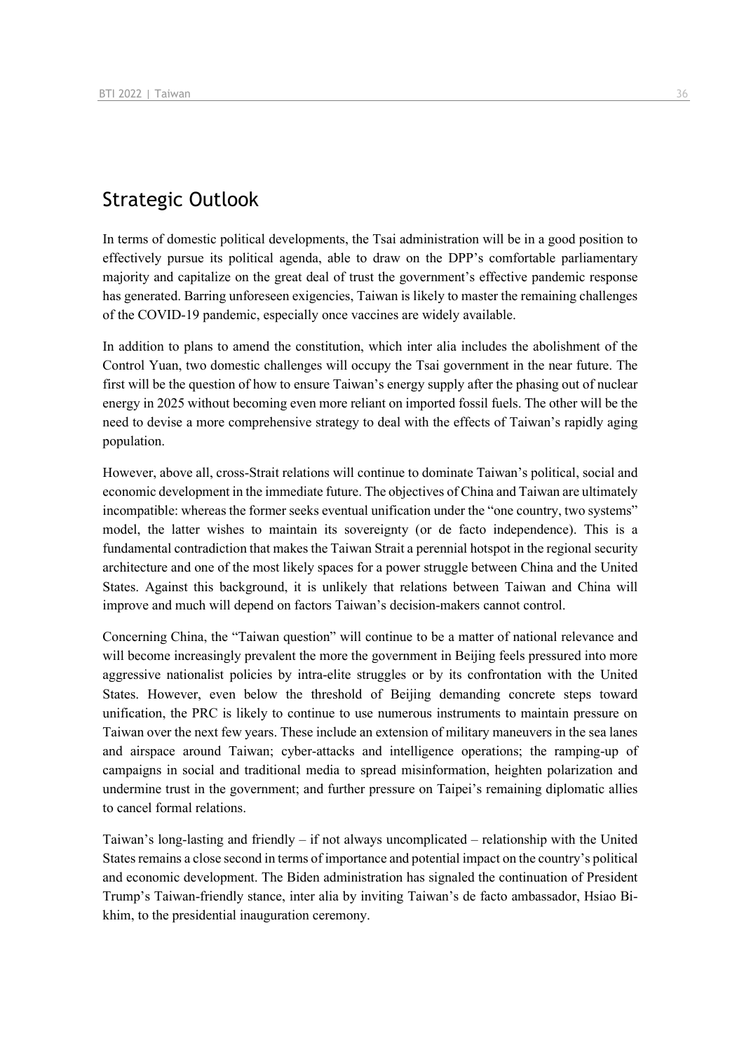## Strategic Outlook

In terms of domestic political developments, the Tsai administration will be in a good position to effectively pursue its political agenda, able to draw on the DPP's comfortable parliamentary majority and capitalize on the great deal of trust the government's effective pandemic response has generated. Barring unforeseen exigencies, Taiwan is likely to master the remaining challenges of the COVID-19 pandemic, especially once vaccines are widely available.

In addition to plans to amend the constitution, which inter alia includes the abolishment of the Control Yuan, two domestic challenges will occupy the Tsai government in the near future. The first will be the question of how to ensure Taiwan's energy supply after the phasing out of nuclear energy in 2025 without becoming even more reliant on imported fossil fuels. The other will be the need to devise a more comprehensive strategy to deal with the effects of Taiwan's rapidly aging population.

However, above all, cross-Strait relations will continue to dominate Taiwan's political, social and economic development in the immediate future. The objectives of China and Taiwan are ultimately incompatible: whereas the former seeks eventual unification under the "one country, two systems" model, the latter wishes to maintain its sovereignty (or de facto independence). This is a fundamental contradiction that makes the Taiwan Strait a perennial hotspot in the regional security architecture and one of the most likely spaces for a power struggle between China and the United States. Against this background, it is unlikely that relations between Taiwan and China will improve and much will depend on factors Taiwan's decision-makers cannot control.

Concerning China, the "Taiwan question" will continue to be a matter of national relevance and will become increasingly prevalent the more the government in Beijing feels pressured into more aggressive nationalist policies by intra-elite struggles or by its confrontation with the United States. However, even below the threshold of Beijing demanding concrete steps toward unification, the PRC is likely to continue to use numerous instruments to maintain pressure on Taiwan over the next few years. These include an extension of military maneuvers in the sea lanes and airspace around Taiwan; cyber-attacks and intelligence operations; the ramping-up of campaigns in social and traditional media to spread misinformation, heighten polarization and undermine trust in the government; and further pressure on Taipei's remaining diplomatic allies to cancel formal relations.

Taiwan's long-lasting and friendly – if not always uncomplicated – relationship with the United States remains a close second in terms of importance and potential impact on the country's political and economic development. The Biden administration has signaled the continuation of President Trump's Taiwan-friendly stance, inter alia by inviting Taiwan's de facto ambassador, Hsiao Bikhim, to the presidential inauguration ceremony.